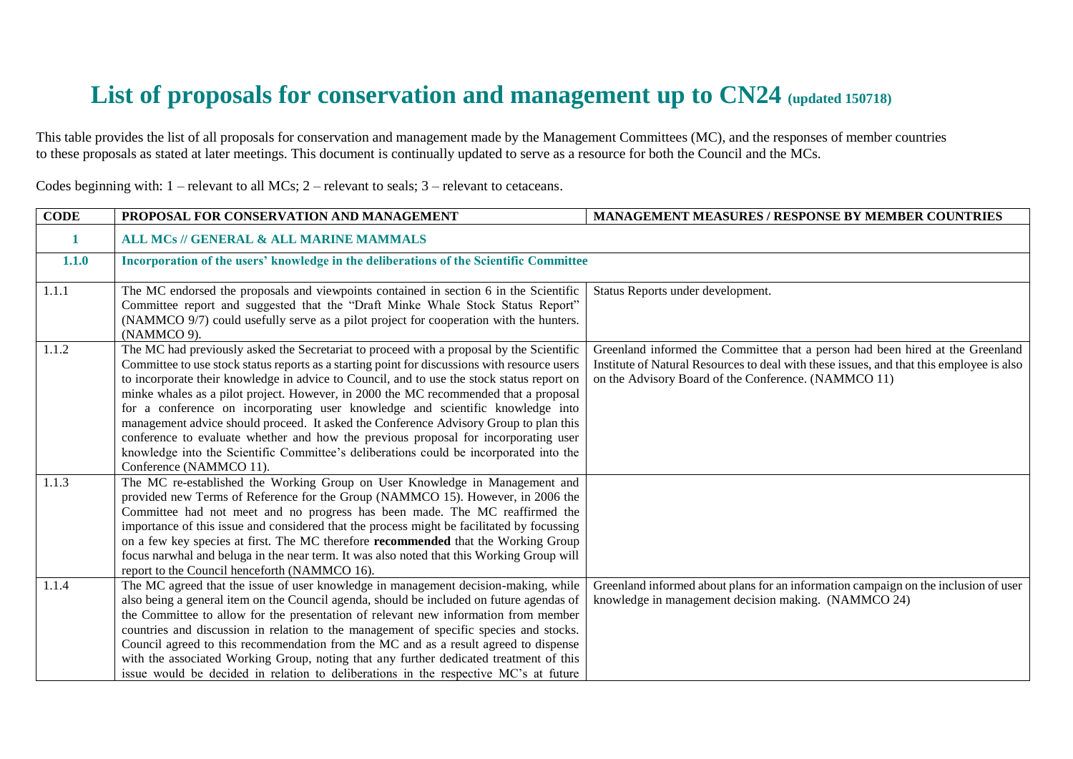## **List of proposals for conservation and management up to CN24 (updated 150718)**

This table provides the list of all proposals for conservation and management made by the Management Committees (MC), and the responses of member countries to these proposals as stated at later meetings. This document is continually updated to serve as a resource for both the Council and the MCs.

| <b>CODE</b> | PROPOSAL FOR CONSERVATION AND MANAGEMENT                                                                                                                                                                                                                                                                                                                                                                                                                                                                                                                                                                                                                                                                                                                               | <b>MANAGEMENT MEASURES / RESPONSE BY MEMBER COUNTRIES</b>                                                                                                                                                                          |
|-------------|------------------------------------------------------------------------------------------------------------------------------------------------------------------------------------------------------------------------------------------------------------------------------------------------------------------------------------------------------------------------------------------------------------------------------------------------------------------------------------------------------------------------------------------------------------------------------------------------------------------------------------------------------------------------------------------------------------------------------------------------------------------------|------------------------------------------------------------------------------------------------------------------------------------------------------------------------------------------------------------------------------------|
|             | <b>ALL MCs // GENERAL &amp; ALL MARINE MAMMALS</b>                                                                                                                                                                                                                                                                                                                                                                                                                                                                                                                                                                                                                                                                                                                     |                                                                                                                                                                                                                                    |
| 1.1.0       | Incorporation of the users' knowledge in the deliberations of the Scientific Committee                                                                                                                                                                                                                                                                                                                                                                                                                                                                                                                                                                                                                                                                                 |                                                                                                                                                                                                                                    |
| 1.1.1       | The MC endorsed the proposals and viewpoints contained in section 6 in the Scientific<br>Committee report and suggested that the "Draft Minke Whale Stock Status Report"<br>(NAMMCO 9/7) could usefully serve as a pilot project for cooperation with the hunters.<br>(NAMMCO 9).                                                                                                                                                                                                                                                                                                                                                                                                                                                                                      | Status Reports under development.                                                                                                                                                                                                  |
| 1.1.2       | The MC had previously asked the Secretariat to proceed with a proposal by the Scientific<br>Committee to use stock status reports as a starting point for discussions with resource users<br>to incorporate their knowledge in advice to Council, and to use the stock status report on<br>minke whales as a pilot project. However, in 2000 the MC recommended that a proposal<br>for a conference on incorporating user knowledge and scientific knowledge into<br>management advice should proceed. It asked the Conference Advisory Group to plan this<br>conference to evaluate whether and how the previous proposal for incorporating user<br>knowledge into the Scientific Committee's deliberations could be incorporated into the<br>Conference (NAMMCO 11). | Greenland informed the Committee that a person had been hired at the Greenland<br>Institute of Natural Resources to deal with these issues, and that this employee is also<br>on the Advisory Board of the Conference. (NAMMCO 11) |
| 1.1.3       | The MC re-established the Working Group on User Knowledge in Management and<br>provided new Terms of Reference for the Group (NAMMCO 15). However, in 2006 the<br>Committee had not meet and no progress has been made. The MC reaffirmed the<br>importance of this issue and considered that the process might be facilitated by focussing<br>on a few key species at first. The MC therefore recommended that the Working Group<br>focus narwhal and beluga in the near term. It was also noted that this Working Group will<br>report to the Council henceforth (NAMMCO 16).                                                                                                                                                                                        |                                                                                                                                                                                                                                    |
| 1.1.4       | The MC agreed that the issue of user knowledge in management decision-making, while<br>also being a general item on the Council agenda, should be included on future agendas of<br>the Committee to allow for the presentation of relevant new information from member<br>countries and discussion in relation to the management of specific species and stocks.<br>Council agreed to this recommendation from the MC and as a result agreed to dispense<br>with the associated Working Group, noting that any further dedicated treatment of this<br>issue would be decided in relation to deliberations in the respective MC's at future                                                                                                                             | Greenland informed about plans for an information campaign on the inclusion of user<br>knowledge in management decision making. (NAMMCO 24)                                                                                        |

Codes beginning with: 1 – relevant to all MCs; 2 – relevant to seals; 3 – relevant to cetaceans.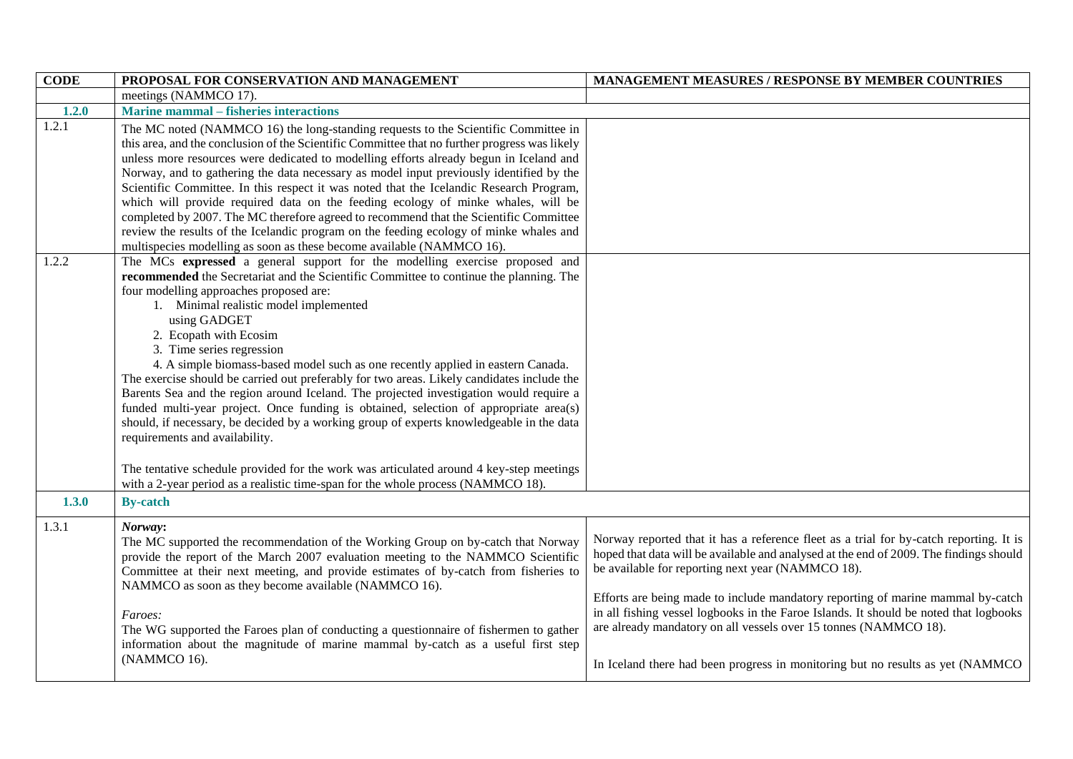| <b>CODE</b> | PROPOSAL FOR CONSERVATION AND MANAGEMENT                                                                                                                                                                                                                                                                                                                                                                                                                                                                                                                                                                                                                                                                                                                                                                                                                                                                                                                                                                           | <b>MANAGEMENT MEASURES / RESPONSE BY MEMBER COUNTRIES</b>                                                                                                                                                                                                                                                                                                                                                                                                                                                                                                                |
|-------------|--------------------------------------------------------------------------------------------------------------------------------------------------------------------------------------------------------------------------------------------------------------------------------------------------------------------------------------------------------------------------------------------------------------------------------------------------------------------------------------------------------------------------------------------------------------------------------------------------------------------------------------------------------------------------------------------------------------------------------------------------------------------------------------------------------------------------------------------------------------------------------------------------------------------------------------------------------------------------------------------------------------------|--------------------------------------------------------------------------------------------------------------------------------------------------------------------------------------------------------------------------------------------------------------------------------------------------------------------------------------------------------------------------------------------------------------------------------------------------------------------------------------------------------------------------------------------------------------------------|
|             | meetings (NAMMCO 17).                                                                                                                                                                                                                                                                                                                                                                                                                                                                                                                                                                                                                                                                                                                                                                                                                                                                                                                                                                                              |                                                                                                                                                                                                                                                                                                                                                                                                                                                                                                                                                                          |
| 1.2.0       | <b>Marine mammal – fisheries interactions</b>                                                                                                                                                                                                                                                                                                                                                                                                                                                                                                                                                                                                                                                                                                                                                                                                                                                                                                                                                                      |                                                                                                                                                                                                                                                                                                                                                                                                                                                                                                                                                                          |
| 1.2.1       | The MC noted (NAMMCO 16) the long-standing requests to the Scientific Committee in<br>this area, and the conclusion of the Scientific Committee that no further progress was likely<br>unless more resources were dedicated to modelling efforts already begun in Iceland and<br>Norway, and to gathering the data necessary as model input previously identified by the<br>Scientific Committee. In this respect it was noted that the Icelandic Research Program,<br>which will provide required data on the feeding ecology of minke whales, will be<br>completed by 2007. The MC therefore agreed to recommend that the Scientific Committee<br>review the results of the Icelandic program on the feeding ecology of minke whales and<br>multispecies modelling as soon as these become available (NAMMCO 16).                                                                                                                                                                                                |                                                                                                                                                                                                                                                                                                                                                                                                                                                                                                                                                                          |
| 1.2.2       | The MCs expressed a general support for the modelling exercise proposed and<br>recommended the Secretariat and the Scientific Committee to continue the planning. The<br>four modelling approaches proposed are:<br>1. Minimal realistic model implemented<br>using GADGET<br>2. Ecopath with Ecosim<br>3. Time series regression<br>4. A simple biomass-based model such as one recently applied in eastern Canada.<br>The exercise should be carried out preferably for two areas. Likely candidates include the<br>Barents Sea and the region around Iceland. The projected investigation would require a<br>funded multi-year project. Once funding is obtained, selection of appropriate area(s)<br>should, if necessary, be decided by a working group of experts knowledgeable in the data<br>requirements and availability.<br>The tentative schedule provided for the work was articulated around 4 key-step meetings<br>with a 2-year period as a realistic time-span for the whole process (NAMMCO 18). |                                                                                                                                                                                                                                                                                                                                                                                                                                                                                                                                                                          |
| 1.3.0       | <b>By-catch</b>                                                                                                                                                                                                                                                                                                                                                                                                                                                                                                                                                                                                                                                                                                                                                                                                                                                                                                                                                                                                    |                                                                                                                                                                                                                                                                                                                                                                                                                                                                                                                                                                          |
| 1.3.1       | Norway:<br>The MC supported the recommendation of the Working Group on by-catch that Norway<br>provide the report of the March 2007 evaluation meeting to the NAMMCO Scientific<br>Committee at their next meeting, and provide estimates of by-catch from fisheries to<br>NAMMCO as soon as they become available (NAMMCO 16).<br>Faroes:<br>The WG supported the Faroes plan of conducting a questionnaire of fishermen to gather<br>information about the magnitude of marine mammal by-catch as a useful first step<br>(NAMMCO 16).                                                                                                                                                                                                                                                                                                                                                                                                                                                                            | Norway reported that it has a reference fleet as a trial for by-catch reporting. It is<br>hoped that data will be available and analysed at the end of 2009. The findings should<br>be available for reporting next year (NAMMCO 18).<br>Efforts are being made to include mandatory reporting of marine mammal by-catch<br>in all fishing vessel logbooks in the Faroe Islands. It should be noted that logbooks<br>are already mandatory on all vessels over 15 tonnes (NAMMCO 18).<br>In Iceland there had been progress in monitoring but no results as yet (NAMMCO) |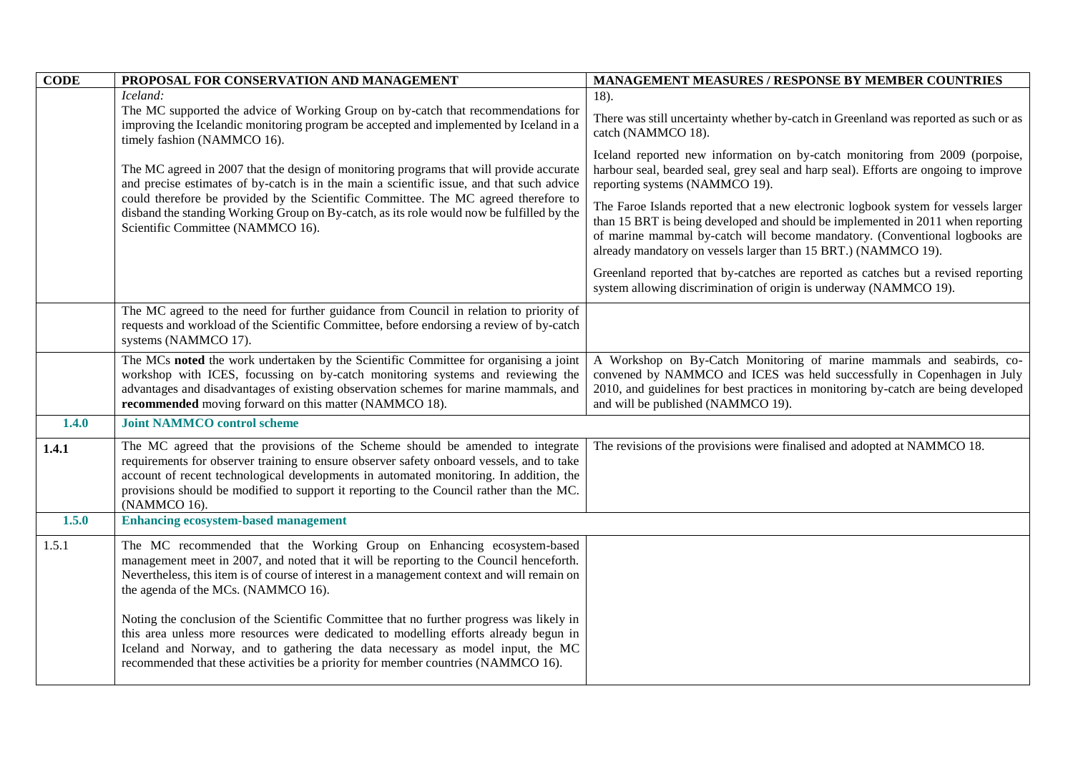| <b>CODE</b> | PROPOSAL FOR CONSERVATION AND MANAGEMENT                                                                                                                                                                                                                                                                                                                                                                                                                                                    | MANAGEMENT MEASURES / RESPONSE BY MEMBER COUNTRIES                                                                                                                                                                                                                                                                     |
|-------------|---------------------------------------------------------------------------------------------------------------------------------------------------------------------------------------------------------------------------------------------------------------------------------------------------------------------------------------------------------------------------------------------------------------------------------------------------------------------------------------------|------------------------------------------------------------------------------------------------------------------------------------------------------------------------------------------------------------------------------------------------------------------------------------------------------------------------|
|             | Iceland:                                                                                                                                                                                                                                                                                                                                                                                                                                                                                    | 18).                                                                                                                                                                                                                                                                                                                   |
|             | The MC supported the advice of Working Group on by-catch that recommendations for<br>improving the Icelandic monitoring program be accepted and implemented by Iceland in a<br>timely fashion (NAMMCO 16).                                                                                                                                                                                                                                                                                  | There was still uncertainty whether by-catch in Greenland was reported as such or as<br>catch (NAMMCO 18).                                                                                                                                                                                                             |
|             | The MC agreed in 2007 that the design of monitoring programs that will provide accurate<br>and precise estimates of by-catch is in the main a scientific issue, and that such advice                                                                                                                                                                                                                                                                                                        | Iceland reported new information on by-catch monitoring from 2009 (porpoise,<br>harbour seal, bearded seal, grey seal and harp seal). Efforts are ongoing to improve<br>reporting systems (NAMMCO 19).                                                                                                                 |
|             | could therefore be provided by the Scientific Committee. The MC agreed therefore to<br>disband the standing Working Group on By-catch, as its role would now be fulfilled by the<br>Scientific Committee (NAMMCO 16).                                                                                                                                                                                                                                                                       | The Faroe Islands reported that a new electronic logbook system for vessels larger<br>than 15 BRT is being developed and should be implemented in 2011 when reporting<br>of marine mammal by-catch will become mandatory. (Conventional logbooks are<br>already mandatory on vessels larger than 15 BRT.) (NAMMCO 19). |
|             |                                                                                                                                                                                                                                                                                                                                                                                                                                                                                             | Greenland reported that by-catches are reported as catches but a revised reporting<br>system allowing discrimination of origin is underway (NAMMCO 19).                                                                                                                                                                |
|             | The MC agreed to the need for further guidance from Council in relation to priority of<br>requests and workload of the Scientific Committee, before endorsing a review of by-catch<br>systems (NAMMCO 17).                                                                                                                                                                                                                                                                                  |                                                                                                                                                                                                                                                                                                                        |
|             | The MCs noted the work undertaken by the Scientific Committee for organising a joint<br>workshop with ICES, focussing on by-catch monitoring systems and reviewing the<br>advantages and disadvantages of existing observation schemes for marine mammals, and<br>recommended moving forward on this matter (NAMMCO 18).                                                                                                                                                                    | A Workshop on By-Catch Monitoring of marine mammals and seabirds, co-<br>convened by NAMMCO and ICES was held successfully in Copenhagen in July<br>2010, and guidelines for best practices in monitoring by-catch are being developed<br>and will be published (NAMMCO 19).                                           |
| 1.4.0       | <b>Joint NAMMCO control scheme</b>                                                                                                                                                                                                                                                                                                                                                                                                                                                          |                                                                                                                                                                                                                                                                                                                        |
| 1.4.1       | The MC agreed that the provisions of the Scheme should be amended to integrate<br>requirements for observer training to ensure observer safety onboard vessels, and to take<br>account of recent technological developments in automated monitoring. In addition, the<br>provisions should be modified to support it reporting to the Council rather than the MC.<br>(NAMMCO 16).                                                                                                           | The revisions of the provisions were finalised and adopted at NAMMCO 18.                                                                                                                                                                                                                                               |
| 1.5.0       | <b>Enhancing ecosystem-based management</b>                                                                                                                                                                                                                                                                                                                                                                                                                                                 |                                                                                                                                                                                                                                                                                                                        |
| 1.5.1       | The MC recommended that the Working Group on Enhancing ecosystem-based<br>management meet in 2007, and noted that it will be reporting to the Council henceforth.<br>Nevertheless, this item is of course of interest in a management context and will remain on<br>the agenda of the MCs. (NAMMCO 16).<br>Noting the conclusion of the Scientific Committee that no further progress was likely in<br>this area unless more resources were dedicated to modelling efforts already begun in |                                                                                                                                                                                                                                                                                                                        |
|             | Iceland and Norway, and to gathering the data necessary as model input, the MC<br>recommended that these activities be a priority for member countries (NAMMCO 16).                                                                                                                                                                                                                                                                                                                         |                                                                                                                                                                                                                                                                                                                        |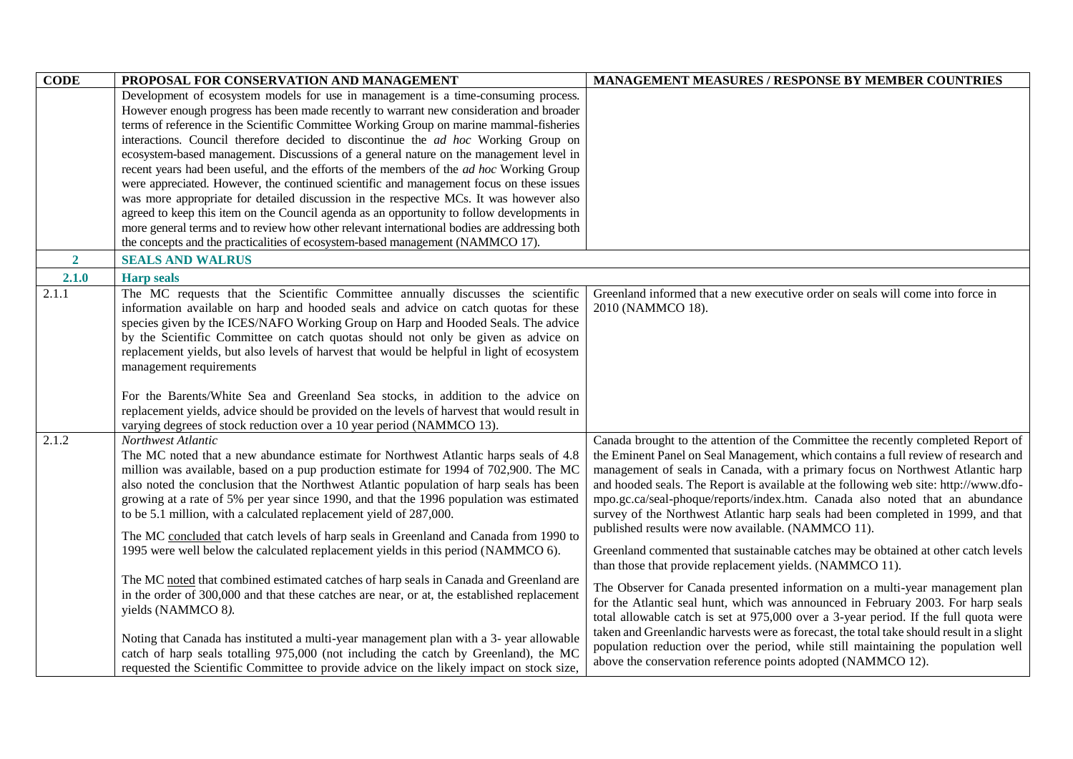| <b>CODE</b>  | PROPOSAL FOR CONSERVATION AND MANAGEMENT                                                        | <b>MANAGEMENT MEASURES / RESPONSE BY MEMBER COUNTRIES</b>                                 |
|--------------|-------------------------------------------------------------------------------------------------|-------------------------------------------------------------------------------------------|
|              | Development of ecosystem models for use in management is a time-consuming process.              |                                                                                           |
|              | However enough progress has been made recently to warrant new consideration and broader         |                                                                                           |
|              | terms of reference in the Scientific Committee Working Group on marine mammal-fisheries         |                                                                                           |
|              | interactions. Council therefore decided to discontinue the <i>ad hoc</i> Working Group on       |                                                                                           |
|              | ecosystem-based management. Discussions of a general nature on the management level in          |                                                                                           |
|              | recent years had been useful, and the efforts of the members of the <i>ad hoc</i> Working Group |                                                                                           |
|              | were appreciated. However, the continued scientific and management focus on these issues        |                                                                                           |
|              | was more appropriate for detailed discussion in the respective MCs. It was however also         |                                                                                           |
|              | agreed to keep this item on the Council agenda as an opportunity to follow developments in      |                                                                                           |
|              | more general terms and to review how other relevant international bodies are addressing both    |                                                                                           |
|              | the concepts and the practicalities of ecosystem-based management (NAMMCO 17).                  |                                                                                           |
| $\mathbf{2}$ | <b>SEALS AND WALRUS</b>                                                                         |                                                                                           |
| 2.1.0        | <b>Harp seals</b>                                                                               |                                                                                           |
| 2.1.1        | The MC requests that the Scientific Committee annually discusses the scientific                 | Greenland informed that a new executive order on seals will come into force in            |
|              | information available on harp and hooded seals and advice on catch quotas for these             | 2010 (NAMMCO 18).                                                                         |
|              | species given by the ICES/NAFO Working Group on Harp and Hooded Seals. The advice               |                                                                                           |
|              | by the Scientific Committee on catch quotas should not only be given as advice on               |                                                                                           |
|              | replacement yields, but also levels of harvest that would be helpful in light of ecosystem      |                                                                                           |
|              | management requirements                                                                         |                                                                                           |
|              |                                                                                                 |                                                                                           |
|              | For the Barents/White Sea and Greenland Sea stocks, in addition to the advice on                |                                                                                           |
|              | replacement yields, advice should be provided on the levels of harvest that would result in     |                                                                                           |
|              | varying degrees of stock reduction over a 10 year period (NAMMCO 13).                           |                                                                                           |
| 2.1.2        | Northwest Atlantic                                                                              | Canada brought to the attention of the Committee the recently completed Report of         |
|              | The MC noted that a new abundance estimate for Northwest Atlantic harps seals of 4.8            | the Eminent Panel on Seal Management, which contains a full review of research and        |
|              | million was available, based on a pup production estimate for 1994 of 702,900. The MC           | management of seals in Canada, with a primary focus on Northwest Atlantic harp            |
|              | also noted the conclusion that the Northwest Atlantic population of harp seals has been         | and hooded seals. The Report is available at the following web site: http://www.dfo-      |
|              | growing at a rate of 5% per year since 1990, and that the 1996 population was estimated         | mpo.gc.ca/seal-phoque/reports/index.htm. Canada also noted that an abundance              |
|              | to be 5.1 million, with a calculated replacement yield of 287,000.                              | survey of the Northwest Atlantic harp seals had been completed in 1999, and that          |
|              | The MC concluded that catch levels of harp seals in Greenland and Canada from 1990 to           | published results were now available. (NAMMCO 11).                                        |
|              | 1995 were well below the calculated replacement yields in this period (NAMMCO 6).               | Greenland commented that sustainable catches may be obtained at other catch levels        |
|              |                                                                                                 | than those that provide replacement yields. (NAMMCO 11).                                  |
|              | The MC noted that combined estimated catches of harp seals in Canada and Greenland are          |                                                                                           |
|              | in the order of 300,000 and that these catches are near, or at, the established replacement     | The Observer for Canada presented information on a multi-year management plan             |
|              | yields (NAMMCO 8).                                                                              | for the Atlantic seal hunt, which was announced in February 2003. For harp seals          |
|              |                                                                                                 | total allowable catch is set at 975,000 over a 3-year period. If the full quota were      |
|              | Noting that Canada has instituted a multi-year management plan with a 3-year allowable          | taken and Greenlandic harvests were as forecast, the total take should result in a slight |
|              | catch of harp seals totalling 975,000 (not including the catch by Greenland), the MC            | population reduction over the period, while still maintaining the population well         |
|              | requested the Scientific Committee to provide advice on the likely impact on stock size,        | above the conservation reference points adopted (NAMMCO 12).                              |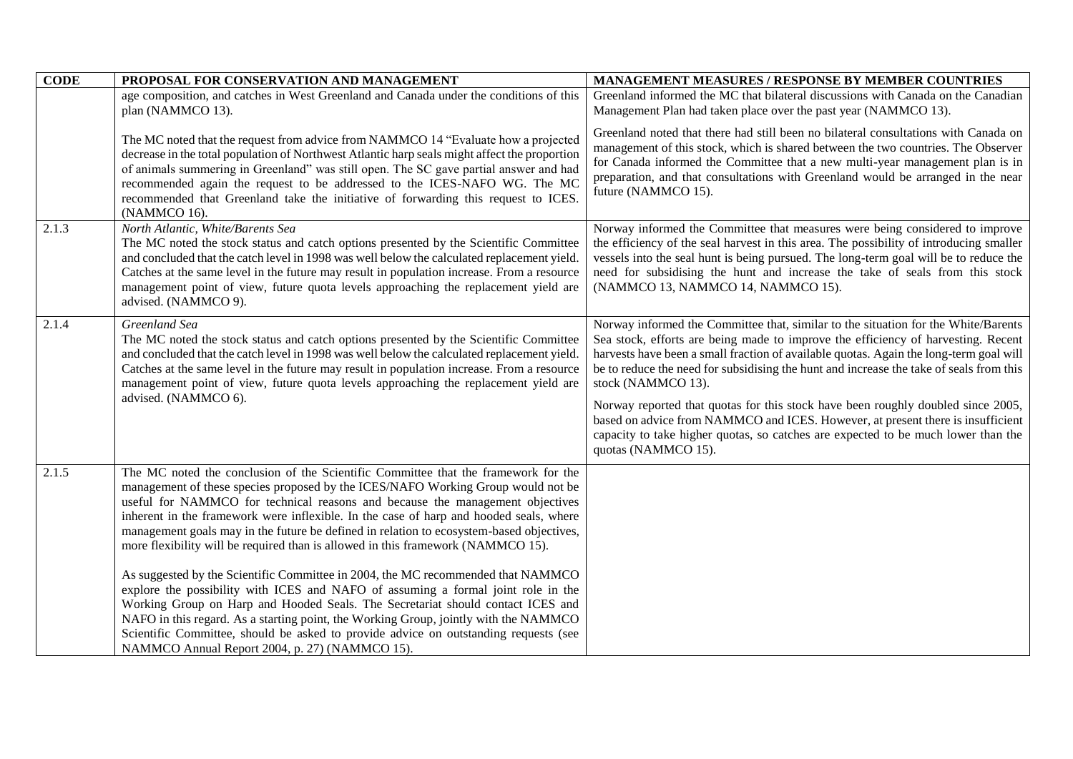| <b>CODE</b> | PROPOSAL FOR CONSERVATION AND MANAGEMENT                                                                                                                                                                                                                                                                                                                                                                                                                                                                                                                                                                                                                                                                                                                                                                                                                                                                                                                                                                                        | <b>MANAGEMENT MEASURES / RESPONSE BY MEMBER COUNTRIES</b>                                                                                                                                                                                                                                                                                                                                                                                                                                                                                                                                                                                                             |
|-------------|---------------------------------------------------------------------------------------------------------------------------------------------------------------------------------------------------------------------------------------------------------------------------------------------------------------------------------------------------------------------------------------------------------------------------------------------------------------------------------------------------------------------------------------------------------------------------------------------------------------------------------------------------------------------------------------------------------------------------------------------------------------------------------------------------------------------------------------------------------------------------------------------------------------------------------------------------------------------------------------------------------------------------------|-----------------------------------------------------------------------------------------------------------------------------------------------------------------------------------------------------------------------------------------------------------------------------------------------------------------------------------------------------------------------------------------------------------------------------------------------------------------------------------------------------------------------------------------------------------------------------------------------------------------------------------------------------------------------|
|             | age composition, and catches in West Greenland and Canada under the conditions of this<br>plan (NAMMCO 13).                                                                                                                                                                                                                                                                                                                                                                                                                                                                                                                                                                                                                                                                                                                                                                                                                                                                                                                     | Greenland informed the MC that bilateral discussions with Canada on the Canadian<br>Management Plan had taken place over the past year (NAMMCO 13).                                                                                                                                                                                                                                                                                                                                                                                                                                                                                                                   |
|             | The MC noted that the request from advice from NAMMCO 14 "Evaluate how a projected"<br>decrease in the total population of Northwest Atlantic harp seals might affect the proportion<br>of animals summering in Greenland" was still open. The SC gave partial answer and had<br>recommended again the request to be addressed to the ICES-NAFO WG. The MC<br>recommended that Greenland take the initiative of forwarding this request to ICES.<br>(NAMMCO 16).                                                                                                                                                                                                                                                                                                                                                                                                                                                                                                                                                                | Greenland noted that there had still been no bilateral consultations with Canada on<br>management of this stock, which is shared between the two countries. The Observer<br>for Canada informed the Committee that a new multi-year management plan is in<br>preparation, and that consultations with Greenland would be arranged in the near<br>future (NAMMCO 15).                                                                                                                                                                                                                                                                                                  |
| 2.1.3       | North Atlantic, White/Barents Sea<br>The MC noted the stock status and catch options presented by the Scientific Committee<br>and concluded that the catch level in 1998 was well below the calculated replacement yield.<br>Catches at the same level in the future may result in population increase. From a resource<br>management point of view, future quota levels approaching the replacement yield are<br>advised. (NAMMCO 9).                                                                                                                                                                                                                                                                                                                                                                                                                                                                                                                                                                                          | Norway informed the Committee that measures were being considered to improve<br>the efficiency of the seal harvest in this area. The possibility of introducing smaller<br>vessels into the seal hunt is being pursued. The long-term goal will be to reduce the<br>need for subsidising the hunt and increase the take of seals from this stock<br>(NAMMCO 13, NAMMCO 14, NAMMCO 15).                                                                                                                                                                                                                                                                                |
| 2.1.4       | Greenland Sea<br>The MC noted the stock status and catch options presented by the Scientific Committee<br>and concluded that the catch level in 1998 was well below the calculated replacement yield.<br>Catches at the same level in the future may result in population increase. From a resource<br>management point of view, future quota levels approaching the replacement yield are<br>advised. (NAMMCO 6).                                                                                                                                                                                                                                                                                                                                                                                                                                                                                                                                                                                                              | Norway informed the Committee that, similar to the situation for the White/Barents<br>Sea stock, efforts are being made to improve the efficiency of harvesting. Recent<br>harvests have been a small fraction of available quotas. Again the long-term goal will<br>be to reduce the need for subsidising the hunt and increase the take of seals from this<br>stock (NAMMCO 13).<br>Norway reported that quotas for this stock have been roughly doubled since 2005,<br>based on advice from NAMMCO and ICES. However, at present there is insufficient<br>capacity to take higher quotas, so catches are expected to be much lower than the<br>quotas (NAMMCO 15). |
| 2.1.5       | The MC noted the conclusion of the Scientific Committee that the framework for the<br>management of these species proposed by the ICES/NAFO Working Group would not be<br>useful for NAMMCO for technical reasons and because the management objectives<br>inherent in the framework were inflexible. In the case of harp and hooded seals, where<br>management goals may in the future be defined in relation to ecosystem-based objectives,<br>more flexibility will be required than is allowed in this framework (NAMMCO 15).<br>As suggested by the Scientific Committee in 2004, the MC recommended that NAMMCO<br>explore the possibility with ICES and NAFO of assuming a formal joint role in the<br>Working Group on Harp and Hooded Seals. The Secretariat should contact ICES and<br>NAFO in this regard. As a starting point, the Working Group, jointly with the NAMMCO<br>Scientific Committee, should be asked to provide advice on outstanding requests (see<br>NAMMCO Annual Report 2004, p. 27) (NAMMCO 15). |                                                                                                                                                                                                                                                                                                                                                                                                                                                                                                                                                                                                                                                                       |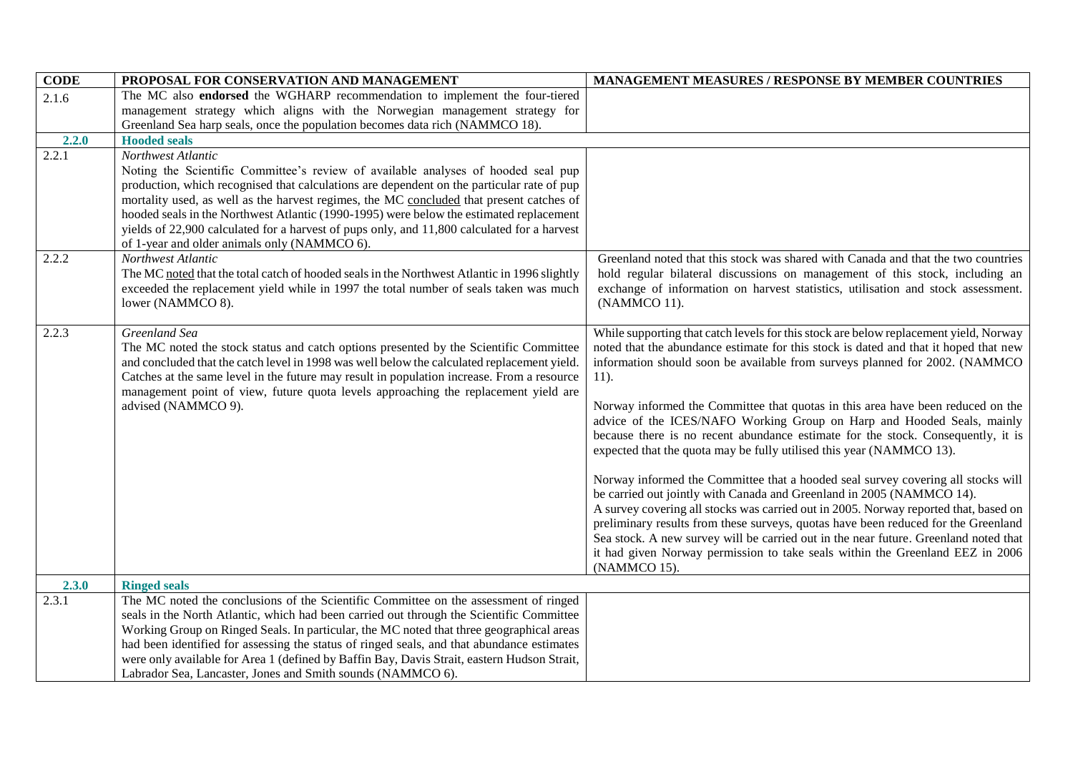| <b>CODE</b>    | PROPOSAL FOR CONSERVATION AND MANAGEMENT                                                                                                                                                                                                                                                                                                                                                                                                                                                                                                                                                                                                                                                                                                                   | MANAGEMENT MEASURES / RESPONSE BY MEMBER COUNTRIES                                                                                                                                                                                                                                                                                                                                                                                                                                                                                                                                                                                                                                                                                                                                                                                                                                                                                                                                                                                                                                                                                   |
|----------------|------------------------------------------------------------------------------------------------------------------------------------------------------------------------------------------------------------------------------------------------------------------------------------------------------------------------------------------------------------------------------------------------------------------------------------------------------------------------------------------------------------------------------------------------------------------------------------------------------------------------------------------------------------------------------------------------------------------------------------------------------------|--------------------------------------------------------------------------------------------------------------------------------------------------------------------------------------------------------------------------------------------------------------------------------------------------------------------------------------------------------------------------------------------------------------------------------------------------------------------------------------------------------------------------------------------------------------------------------------------------------------------------------------------------------------------------------------------------------------------------------------------------------------------------------------------------------------------------------------------------------------------------------------------------------------------------------------------------------------------------------------------------------------------------------------------------------------------------------------------------------------------------------------|
| 2.1.6          | The MC also endorsed the WGHARP recommendation to implement the four-tiered                                                                                                                                                                                                                                                                                                                                                                                                                                                                                                                                                                                                                                                                                |                                                                                                                                                                                                                                                                                                                                                                                                                                                                                                                                                                                                                                                                                                                                                                                                                                                                                                                                                                                                                                                                                                                                      |
|                | management strategy which aligns with the Norwegian management strategy for                                                                                                                                                                                                                                                                                                                                                                                                                                                                                                                                                                                                                                                                                |                                                                                                                                                                                                                                                                                                                                                                                                                                                                                                                                                                                                                                                                                                                                                                                                                                                                                                                                                                                                                                                                                                                                      |
|                | Greenland Sea harp seals, once the population becomes data rich (NAMMCO 18).                                                                                                                                                                                                                                                                                                                                                                                                                                                                                                                                                                                                                                                                               |                                                                                                                                                                                                                                                                                                                                                                                                                                                                                                                                                                                                                                                                                                                                                                                                                                                                                                                                                                                                                                                                                                                                      |
| 2.2.0          | <b>Hooded seals</b>                                                                                                                                                                                                                                                                                                                                                                                                                                                                                                                                                                                                                                                                                                                                        |                                                                                                                                                                                                                                                                                                                                                                                                                                                                                                                                                                                                                                                                                                                                                                                                                                                                                                                                                                                                                                                                                                                                      |
| 2.2.1<br>2.2.2 | Northwest Atlantic<br>Noting the Scientific Committee's review of available analyses of hooded seal pup<br>production, which recognised that calculations are dependent on the particular rate of pup<br>mortality used, as well as the harvest regimes, the MC concluded that present catches of<br>hooded seals in the Northwest Atlantic (1990-1995) were below the estimated replacement<br>yields of 22,900 calculated for a harvest of pups only, and 11,800 calculated for a harvest<br>of 1-year and older animals only (NAMMCO 6).<br>Northwest Atlantic<br>The MC noted that the total catch of hooded seals in the Northwest Atlantic in 1996 slightly<br>exceeded the replacement yield while in 1997 the total number of seals taken was much | Greenland noted that this stock was shared with Canada and that the two countries<br>hold regular bilateral discussions on management of this stock, including an<br>exchange of information on harvest statistics, utilisation and stock assessment.                                                                                                                                                                                                                                                                                                                                                                                                                                                                                                                                                                                                                                                                                                                                                                                                                                                                                |
|                | lower (NAMMCO 8).                                                                                                                                                                                                                                                                                                                                                                                                                                                                                                                                                                                                                                                                                                                                          | (NAMMCO 11).                                                                                                                                                                                                                                                                                                                                                                                                                                                                                                                                                                                                                                                                                                                                                                                                                                                                                                                                                                                                                                                                                                                         |
| 2.2.3          | Greenland Sea<br>The MC noted the stock status and catch options presented by the Scientific Committee<br>and concluded that the catch level in 1998 was well below the calculated replacement yield.<br>Catches at the same level in the future may result in population increase. From a resource<br>management point of view, future quota levels approaching the replacement yield are<br>advised (NAMMCO 9).                                                                                                                                                                                                                                                                                                                                          | While supporting that catch levels for this stock are below replacement yield, Norway<br>noted that the abundance estimate for this stock is dated and that it hoped that new<br>information should soon be available from surveys planned for 2002. (NAMMCO<br>$11$ ).<br>Norway informed the Committee that quotas in this area have been reduced on the<br>advice of the ICES/NAFO Working Group on Harp and Hooded Seals, mainly<br>because there is no recent abundance estimate for the stock. Consequently, it is<br>expected that the quota may be fully utilised this year (NAMMCO 13).<br>Norway informed the Committee that a hooded seal survey covering all stocks will<br>be carried out jointly with Canada and Greenland in 2005 (NAMMCO 14).<br>A survey covering all stocks was carried out in 2005. Norway reported that, based on<br>preliminary results from these surveys, quotas have been reduced for the Greenland<br>Sea stock. A new survey will be carried out in the near future. Greenland noted that<br>it had given Norway permission to take seals within the Greenland EEZ in 2006<br>(NAMMCO 15). |
| 2.3.0          | <b>Ringed seals</b>                                                                                                                                                                                                                                                                                                                                                                                                                                                                                                                                                                                                                                                                                                                                        |                                                                                                                                                                                                                                                                                                                                                                                                                                                                                                                                                                                                                                                                                                                                                                                                                                                                                                                                                                                                                                                                                                                                      |
| 2.3.1          | The MC noted the conclusions of the Scientific Committee on the assessment of ringed<br>seals in the North Atlantic, which had been carried out through the Scientific Committee<br>Working Group on Ringed Seals. In particular, the MC noted that three geographical areas<br>had been identified for assessing the status of ringed seals, and that abundance estimates<br>were only available for Area 1 (defined by Baffin Bay, Davis Strait, eastern Hudson Strait,<br>Labrador Sea, Lancaster, Jones and Smith sounds (NAMMCO 6).                                                                                                                                                                                                                   |                                                                                                                                                                                                                                                                                                                                                                                                                                                                                                                                                                                                                                                                                                                                                                                                                                                                                                                                                                                                                                                                                                                                      |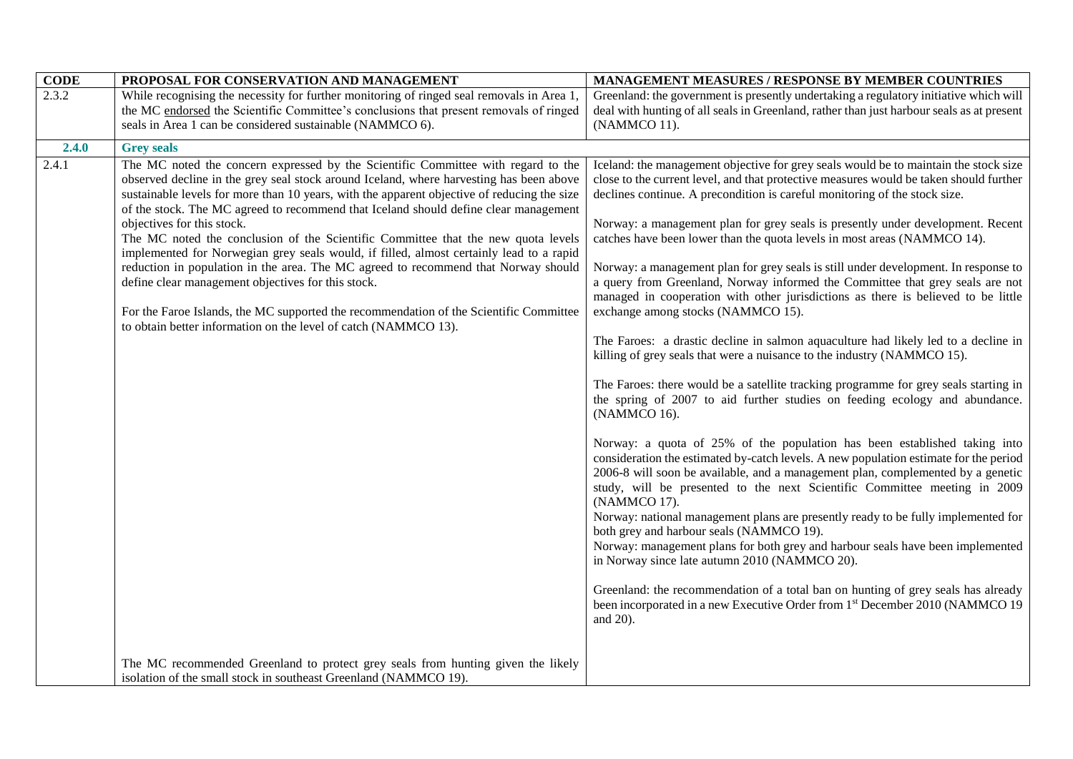| <b>CODE</b> | PROPOSAL FOR CONSERVATION AND MANAGEMENT                                                                                                                                                                                                                                                                                                                                                                                                                                                                                                                                                                                                                                                                                                                                                                                                                                                   | <b>MANAGEMENT MEASURES / RESPONSE BY MEMBER COUNTRIES</b>                                                                                                                                                                                                                                                                                                                                                                                                                                                                                                                                                                                                                                                                                                                                                                                                                                                                                                                                                                                                              |
|-------------|--------------------------------------------------------------------------------------------------------------------------------------------------------------------------------------------------------------------------------------------------------------------------------------------------------------------------------------------------------------------------------------------------------------------------------------------------------------------------------------------------------------------------------------------------------------------------------------------------------------------------------------------------------------------------------------------------------------------------------------------------------------------------------------------------------------------------------------------------------------------------------------------|------------------------------------------------------------------------------------------------------------------------------------------------------------------------------------------------------------------------------------------------------------------------------------------------------------------------------------------------------------------------------------------------------------------------------------------------------------------------------------------------------------------------------------------------------------------------------------------------------------------------------------------------------------------------------------------------------------------------------------------------------------------------------------------------------------------------------------------------------------------------------------------------------------------------------------------------------------------------------------------------------------------------------------------------------------------------|
| 2.3.2       | While recognising the necessity for further monitoring of ringed seal removals in Area 1,                                                                                                                                                                                                                                                                                                                                                                                                                                                                                                                                                                                                                                                                                                                                                                                                  | Greenland: the government is presently undertaking a regulatory initiative which will                                                                                                                                                                                                                                                                                                                                                                                                                                                                                                                                                                                                                                                                                                                                                                                                                                                                                                                                                                                  |
|             | the MC endorsed the Scientific Committee's conclusions that present removals of ringed                                                                                                                                                                                                                                                                                                                                                                                                                                                                                                                                                                                                                                                                                                                                                                                                     | deal with hunting of all seals in Greenland, rather than just harbour seals as at present                                                                                                                                                                                                                                                                                                                                                                                                                                                                                                                                                                                                                                                                                                                                                                                                                                                                                                                                                                              |
|             | seals in Area 1 can be considered sustainable (NAMMCO 6).                                                                                                                                                                                                                                                                                                                                                                                                                                                                                                                                                                                                                                                                                                                                                                                                                                  | (NAMMCO 11).                                                                                                                                                                                                                                                                                                                                                                                                                                                                                                                                                                                                                                                                                                                                                                                                                                                                                                                                                                                                                                                           |
| 2.4.0       | <b>Grey seals</b>                                                                                                                                                                                                                                                                                                                                                                                                                                                                                                                                                                                                                                                                                                                                                                                                                                                                          |                                                                                                                                                                                                                                                                                                                                                                                                                                                                                                                                                                                                                                                                                                                                                                                                                                                                                                                                                                                                                                                                        |
| 2.4.1       | The MC noted the concern expressed by the Scientific Committee with regard to the<br>observed decline in the grey seal stock around Iceland, where harvesting has been above<br>sustainable levels for more than 10 years, with the apparent objective of reducing the size<br>of the stock. The MC agreed to recommend that Iceland should define clear management<br>objectives for this stock.<br>The MC noted the conclusion of the Scientific Committee that the new quota levels<br>implemented for Norwegian grey seals would, if filled, almost certainly lead to a rapid<br>reduction in population in the area. The MC agreed to recommend that Norway should<br>define clear management objectives for this stock.<br>For the Faroe Islands, the MC supported the recommendation of the Scientific Committee<br>to obtain better information on the level of catch (NAMMCO 13). | Iceland: the management objective for grey seals would be to maintain the stock size<br>close to the current level, and that protective measures would be taken should further<br>declines continue. A precondition is careful monitoring of the stock size.<br>Norway: a management plan for grey seals is presently under development. Recent<br>catches have been lower than the quota levels in most areas (NAMMCO 14).<br>Norway: a management plan for grey seals is still under development. In response to<br>a query from Greenland, Norway informed the Committee that grey seals are not<br>managed in cooperation with other jurisdictions as there is believed to be little<br>exchange among stocks (NAMMCO 15).<br>The Faroes: a drastic decline in salmon aquaculture had likely led to a decline in<br>killing of grey seals that were a nuisance to the industry (NAMMCO 15).<br>The Faroes: there would be a satellite tracking programme for grey seals starting in<br>the spring of 2007 to aid further studies on feeding ecology and abundance. |
|             |                                                                                                                                                                                                                                                                                                                                                                                                                                                                                                                                                                                                                                                                                                                                                                                                                                                                                            | (NAMMCO 16).<br>Norway: a quota of 25% of the population has been established taking into<br>consideration the estimated by-catch levels. A new population estimate for the period<br>2006-8 will soon be available, and a management plan, complemented by a genetic<br>study, will be presented to the next Scientific Committee meeting in 2009<br>(NAMMCO 17).<br>Norway: national management plans are presently ready to be fully implemented for<br>both grey and harbour seals (NAMMCO 19).<br>Norway: management plans for both grey and harbour seals have been implemented<br>in Norway since late autumn 2010 (NAMMCO 20).<br>Greenland: the recommendation of a total ban on hunting of grey seals has already<br>been incorporated in a new Executive Order from 1 <sup>st</sup> December 2010 (NAMMCO 19<br>and 20).                                                                                                                                                                                                                                    |
|             | The MC recommended Greenland to protect grey seals from hunting given the likely<br>isolation of the small stock in southeast Greenland (NAMMCO 19).                                                                                                                                                                                                                                                                                                                                                                                                                                                                                                                                                                                                                                                                                                                                       |                                                                                                                                                                                                                                                                                                                                                                                                                                                                                                                                                                                                                                                                                                                                                                                                                                                                                                                                                                                                                                                                        |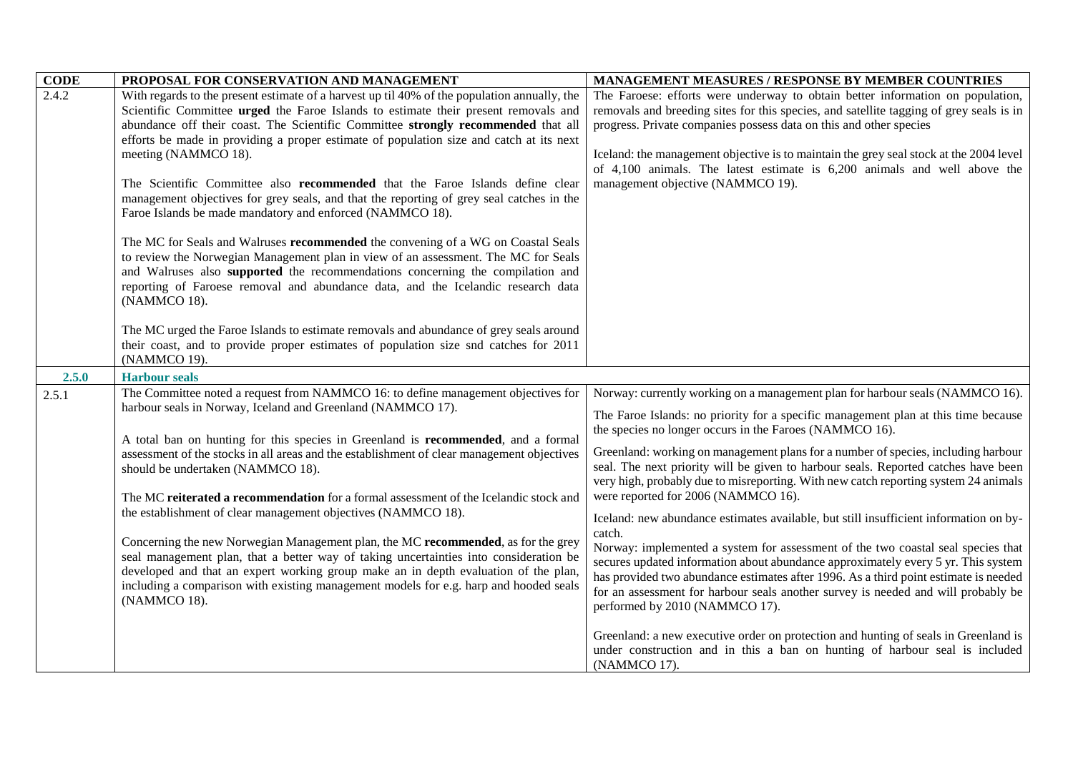| <b>CODE</b> | PROPOSAL FOR CONSERVATION AND MANAGEMENT                                                     | <b>MANAGEMENT MEASURES / RESPONSE BY MEMBER COUNTRIES</b>                                                                                                                 |
|-------------|----------------------------------------------------------------------------------------------|---------------------------------------------------------------------------------------------------------------------------------------------------------------------------|
| 2.4.2       | With regards to the present estimate of a harvest up til 40% of the population annually, the | The Faroese: efforts were underway to obtain better information on population,                                                                                            |
|             | Scientific Committee <b>urged</b> the Faroe Islands to estimate their present removals and   | removals and breeding sites for this species, and satellite tagging of grey seals is in                                                                                   |
|             | abundance off their coast. The Scientific Committee strongly recommended that all            | progress. Private companies possess data on this and other species                                                                                                        |
|             | efforts be made in providing a proper estimate of population size and catch at its next      |                                                                                                                                                                           |
|             | meeting (NAMMCO 18).                                                                         | Iceland: the management objective is to maintain the grey seal stock at the 2004 level                                                                                    |
|             |                                                                                              | of $4,100$ animals. The latest estimate is $6,200$ animals and well above the                                                                                             |
|             | The Scientific Committee also <b>recommended</b> that the Faroe Islands define clear         | management objective (NAMMCO 19).                                                                                                                                         |
|             | management objectives for grey seals, and that the reporting of grey seal catches in the     |                                                                                                                                                                           |
|             | Faroe Islands be made mandatory and enforced (NAMMCO 18).                                    |                                                                                                                                                                           |
|             | The MC for Seals and Walruses recommended the convening of a WG on Coastal Seals             |                                                                                                                                                                           |
|             | to review the Norwegian Management plan in view of an assessment. The MC for Seals           |                                                                                                                                                                           |
|             | and Walruses also supported the recommendations concerning the compilation and               |                                                                                                                                                                           |
|             | reporting of Faroese removal and abundance data, and the Icelandic research data             |                                                                                                                                                                           |
|             | (NAMMCO 18).                                                                                 |                                                                                                                                                                           |
|             |                                                                                              |                                                                                                                                                                           |
|             | The MC urged the Faroe Islands to estimate removals and abundance of grey seals around       |                                                                                                                                                                           |
|             | their coast, and to provide proper estimates of population size snd catches for 2011         |                                                                                                                                                                           |
|             | (NAMMCO 19).                                                                                 |                                                                                                                                                                           |
| 2.5.0       | <b>Harbour seals</b>                                                                         |                                                                                                                                                                           |
| 2.5.1       | The Committee noted a request from NAMMCO 16: to define management objectives for            | Norway: currently working on a management plan for harbour seals (NAMMCO 16).                                                                                             |
|             | harbour seals in Norway, Iceland and Greenland (NAMMCO 17).                                  | The Faroe Islands: no priority for a specific management plan at this time because                                                                                        |
|             |                                                                                              | the species no longer occurs in the Faroes (NAMMCO 16).                                                                                                                   |
|             | A total ban on hunting for this species in Greenland is recommended, and a formal            |                                                                                                                                                                           |
|             | assessment of the stocks in all areas and the establishment of clear management objectives   | Greenland: working on management plans for a number of species, including harbour<br>seal. The next priority will be given to harbour seals. Reported catches have been   |
|             | should be undertaken (NAMMCO 18).                                                            | very high, probably due to misreporting. With new catch reporting system 24 animals                                                                                       |
|             | The MC reiterated a recommendation for a formal assessment of the Icelandic stock and        | were reported for 2006 (NAMMCO 16).                                                                                                                                       |
|             | the establishment of clear management objectives (NAMMCO 18).                                |                                                                                                                                                                           |
|             |                                                                                              | Iceland: new abundance estimates available, but still insufficient information on by-                                                                                     |
|             | Concerning the new Norwegian Management plan, the MC recommended, as for the grey            | catch.                                                                                                                                                                    |
|             | seal management plan, that a better way of taking uncertainties into consideration be        | Norway: implemented a system for assessment of the two coastal seal species that                                                                                          |
|             | developed and that an expert working group make an in depth evaluation of the plan,          | secures updated information about abundance approximately every 5 yr. This system<br>has provided two abundance estimates after 1996. As a third point estimate is needed |
|             | including a comparison with existing management models for e.g. harp and hooded seals        | for an assessment for harbour seals another survey is needed and will probably be                                                                                         |
|             | (NAMMCO 18).                                                                                 | performed by 2010 (NAMMCO 17).                                                                                                                                            |
|             |                                                                                              |                                                                                                                                                                           |
|             |                                                                                              | Greenland: a new executive order on protection and hunting of seals in Greenland is                                                                                       |
|             |                                                                                              | under construction and in this a ban on hunting of harbour seal is included                                                                                               |
|             |                                                                                              | (NAMMCO 17).                                                                                                                                                              |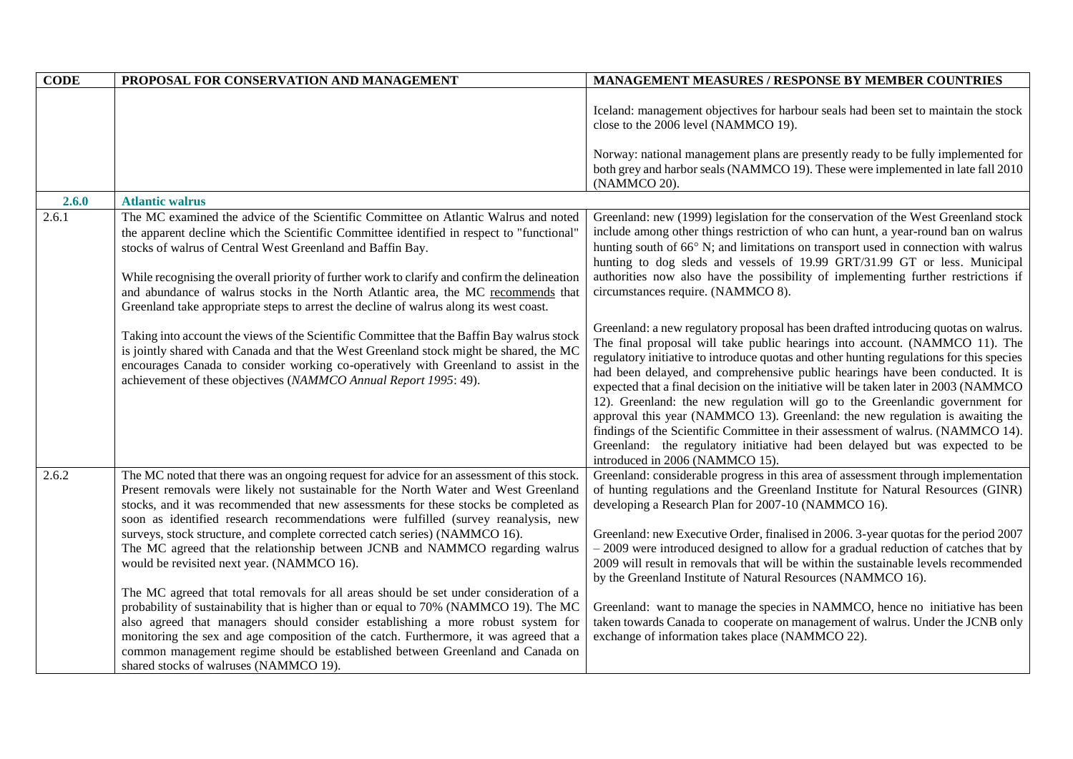| <b>CODE</b> | PROPOSAL FOR CONSERVATION AND MANAGEMENT                                                                                                                                                                                                                                                                                                                                                                                                                                                                                                                                     | <b>MANAGEMENT MEASURES / RESPONSE BY MEMBER COUNTRIES</b>                                                                                                                                                                                                                                                                                                                                                                                                                                                                                                                                                                                                                                                                                                                                                        |
|-------------|------------------------------------------------------------------------------------------------------------------------------------------------------------------------------------------------------------------------------------------------------------------------------------------------------------------------------------------------------------------------------------------------------------------------------------------------------------------------------------------------------------------------------------------------------------------------------|------------------------------------------------------------------------------------------------------------------------------------------------------------------------------------------------------------------------------------------------------------------------------------------------------------------------------------------------------------------------------------------------------------------------------------------------------------------------------------------------------------------------------------------------------------------------------------------------------------------------------------------------------------------------------------------------------------------------------------------------------------------------------------------------------------------|
|             |                                                                                                                                                                                                                                                                                                                                                                                                                                                                                                                                                                              | Iceland: management objectives for harbour seals had been set to maintain the stock<br>close to the 2006 level (NAMMCO 19).                                                                                                                                                                                                                                                                                                                                                                                                                                                                                                                                                                                                                                                                                      |
|             |                                                                                                                                                                                                                                                                                                                                                                                                                                                                                                                                                                              | Norway: national management plans are presently ready to be fully implemented for<br>both grey and harbor seals (NAMMCO 19). These were implemented in late fall 2010<br>(NAMMCO 20).                                                                                                                                                                                                                                                                                                                                                                                                                                                                                                                                                                                                                            |
| 2.6.0       | <b>Atlantic walrus</b>                                                                                                                                                                                                                                                                                                                                                                                                                                                                                                                                                       |                                                                                                                                                                                                                                                                                                                                                                                                                                                                                                                                                                                                                                                                                                                                                                                                                  |
| 2.6.1       | The MC examined the advice of the Scientific Committee on Atlantic Walrus and noted<br>the apparent decline which the Scientific Committee identified in respect to "functional"<br>stocks of walrus of Central West Greenland and Baffin Bay.<br>While recognising the overall priority of further work to clarify and confirm the delineation<br>and abundance of walrus stocks in the North Atlantic area, the MC recommends that<br>Greenland take appropriate steps to arrest the decline of walrus along its west coast.                                               | Greenland: new (1999) legislation for the conservation of the West Greenland stock<br>include among other things restriction of who can hunt, a year-round ban on walrus<br>hunting south of 66° N; and limitations on transport used in connection with walrus<br>hunting to dog sleds and vessels of 19.99 GRT/31.99 GT or less. Municipal<br>authorities now also have the possibility of implementing further restrictions if<br>circumstances require. (NAMMCO 8).                                                                                                                                                                                                                                                                                                                                          |
|             | Taking into account the views of the Scientific Committee that the Baffin Bay walrus stock<br>is jointly shared with Canada and that the West Greenland stock might be shared, the MC<br>encourages Canada to consider working co-operatively with Greenland to assist in the<br>achievement of these objectives (NAMMCO Annual Report 1995: 49).                                                                                                                                                                                                                            | Greenland: a new regulatory proposal has been drafted introducing quotas on walrus.<br>The final proposal will take public hearings into account. (NAMMCO 11). The<br>regulatory initiative to introduce quotas and other hunting regulations for this species<br>had been delayed, and comprehensive public hearings have been conducted. It is<br>expected that a final decision on the initiative will be taken later in 2003 (NAMMCO<br>12). Greenland: the new regulation will go to the Greenlandic government for<br>approval this year (NAMMCO 13). Greenland: the new regulation is awaiting the<br>findings of the Scientific Committee in their assessment of walrus. (NAMMCO 14).<br>Greenland: the regulatory initiative had been delayed but was expected to be<br>introduced in 2006 (NAMMCO 15). |
| 2.6.2       | The MC noted that there was an ongoing request for advice for an assessment of this stock.<br>Present removals were likely not sustainable for the North Water and West Greenland<br>stocks, and it was recommended that new assessments for these stocks be completed as<br>soon as identified research recommendations were fulfilled (survey reanalysis, new<br>surveys, stock structure, and complete corrected catch series) (NAMMCO 16).<br>The MC agreed that the relationship between JCNB and NAMMCO regarding walrus<br>would be revisited next year. (NAMMCO 16). | Greenland: considerable progress in this area of assessment through implementation<br>of hunting regulations and the Greenland Institute for Natural Resources (GINR)<br>developing a Research Plan for 2007-10 (NAMMCO 16).<br>Greenland: new Executive Order, finalised in 2006. 3-year quotas for the period 2007<br>- 2009 were introduced designed to allow for a gradual reduction of catches that by<br>2009 will result in removals that will be within the sustainable levels recommended<br>by the Greenland Institute of Natural Resources (NAMMCO 16).                                                                                                                                                                                                                                               |
|             | The MC agreed that total removals for all areas should be set under consideration of a<br>probability of sustainability that is higher than or equal to 70% (NAMMCO 19). The MC<br>also agreed that managers should consider establishing a more robust system for<br>monitoring the sex and age composition of the catch. Furthermore, it was agreed that a<br>common management regime should be established between Greenland and Canada on<br>shared stocks of walruses (NAMMCO 19).                                                                                     | Greenland: want to manage the species in NAMMCO, hence no initiative has been<br>taken towards Canada to cooperate on management of walrus. Under the JCNB only<br>exchange of information takes place (NAMMCO 22).                                                                                                                                                                                                                                                                                                                                                                                                                                                                                                                                                                                              |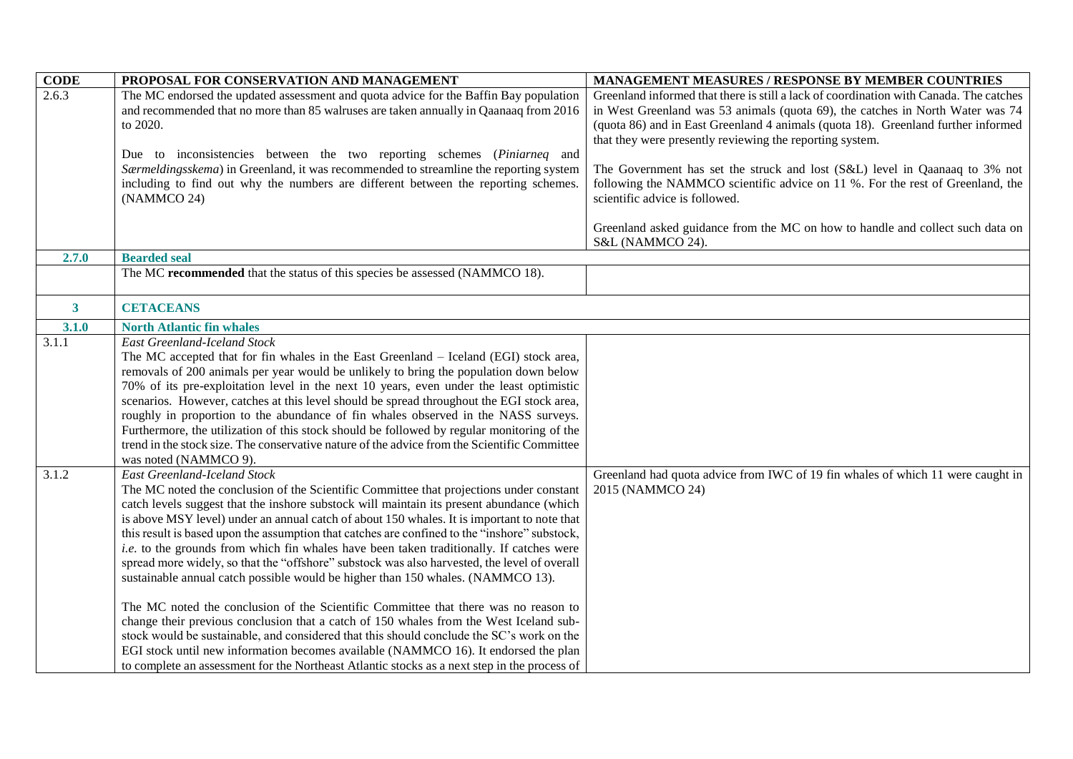| <b>CODE</b>        | PROPOSAL FOR CONSERVATION AND MANAGEMENT                                                                                                                                                                                                                                                                                                                                                                                                                                                                                                                                                                                                                                                                                                                                                                                                                                                                                                                                                                                                                                                                                                                                        | MANAGEMENT MEASURES / RESPONSE BY MEMBER COUNTRIES                                                                                                                                                                                                                                                                                                                                                                                                                                                                                                                                                                                 |
|--------------------|---------------------------------------------------------------------------------------------------------------------------------------------------------------------------------------------------------------------------------------------------------------------------------------------------------------------------------------------------------------------------------------------------------------------------------------------------------------------------------------------------------------------------------------------------------------------------------------------------------------------------------------------------------------------------------------------------------------------------------------------------------------------------------------------------------------------------------------------------------------------------------------------------------------------------------------------------------------------------------------------------------------------------------------------------------------------------------------------------------------------------------------------------------------------------------|------------------------------------------------------------------------------------------------------------------------------------------------------------------------------------------------------------------------------------------------------------------------------------------------------------------------------------------------------------------------------------------------------------------------------------------------------------------------------------------------------------------------------------------------------------------------------------------------------------------------------------|
| 2.6.3<br>2.7.0     | The MC endorsed the updated assessment and quota advice for the Baffin Bay population<br>and recommended that no more than 85 walruses are taken annually in Qaanaaq from 2016<br>to 2020.<br>Due to inconsistencies between the two reporting schemes (Piniarneq and<br>Særmeldingsskema) in Greenland, it was recommended to streamline the reporting system<br>including to find out why the numbers are different between the reporting schemes.<br>(NAMMCO 24)<br><b>Bearded seal</b>                                                                                                                                                                                                                                                                                                                                                                                                                                                                                                                                                                                                                                                                                      | Greenland informed that there is still a lack of coordination with Canada. The catches<br>in West Greenland was 53 animals (quota 69), the catches in North Water was 74<br>(quota 86) and in East Greenland 4 animals (quota 18). Greenland further informed<br>that they were presently reviewing the reporting system.<br>The Government has set the struck and lost (S&L) level in Qaanaaq to 3% not<br>following the NAMMCO scientific advice on 11 %. For the rest of Greenland, the<br>scientific advice is followed.<br>Greenland asked guidance from the MC on how to handle and collect such data on<br>S&L (NAMMCO 24). |
|                    | The MC recommended that the status of this species be assessed (NAMMCO 18).                                                                                                                                                                                                                                                                                                                                                                                                                                                                                                                                                                                                                                                                                                                                                                                                                                                                                                                                                                                                                                                                                                     |                                                                                                                                                                                                                                                                                                                                                                                                                                                                                                                                                                                                                                    |
|                    |                                                                                                                                                                                                                                                                                                                                                                                                                                                                                                                                                                                                                                                                                                                                                                                                                                                                                                                                                                                                                                                                                                                                                                                 |                                                                                                                                                                                                                                                                                                                                                                                                                                                                                                                                                                                                                                    |
| $\mathbf{3}$       | <b>CETACEANS</b>                                                                                                                                                                                                                                                                                                                                                                                                                                                                                                                                                                                                                                                                                                                                                                                                                                                                                                                                                                                                                                                                                                                                                                |                                                                                                                                                                                                                                                                                                                                                                                                                                                                                                                                                                                                                                    |
| 3.1.0              | <b>North Atlantic fin whales</b>                                                                                                                                                                                                                                                                                                                                                                                                                                                                                                                                                                                                                                                                                                                                                                                                                                                                                                                                                                                                                                                                                                                                                |                                                                                                                                                                                                                                                                                                                                                                                                                                                                                                                                                                                                                                    |
| $\overline{3.1.1}$ | <b>East Greenland-Iceland Stock</b><br>The MC accepted that for fin whales in the East Greenland - Iceland (EGI) stock area,<br>removals of 200 animals per year would be unlikely to bring the population down below<br>70% of its pre-exploitation level in the next 10 years, even under the least optimistic<br>scenarios. However, catches at this level should be spread throughout the EGI stock area,<br>roughly in proportion to the abundance of fin whales observed in the NASS surveys.<br>Furthermore, the utilization of this stock should be followed by regular monitoring of the<br>trend in the stock size. The conservative nature of the advice from the Scientific Committee<br>was noted (NAMMCO 9).                                                                                                                                                                                                                                                                                                                                                                                                                                                      |                                                                                                                                                                                                                                                                                                                                                                                                                                                                                                                                                                                                                                    |
| 3.1.2              | <b>East Greenland-Iceland Stock</b><br>The MC noted the conclusion of the Scientific Committee that projections under constant<br>catch levels suggest that the inshore substock will maintain its present abundance (which<br>is above MSY level) under an annual catch of about 150 whales. It is important to note that<br>this result is based upon the assumption that catches are confined to the "inshore" substock,<br>i.e. to the grounds from which fin whales have been taken traditionally. If catches were<br>spread more widely, so that the "offshore" substock was also harvested, the level of overall<br>sustainable annual catch possible would be higher than 150 whales. (NAMMCO 13).<br>The MC noted the conclusion of the Scientific Committee that there was no reason to<br>change their previous conclusion that a catch of 150 whales from the West Iceland sub-<br>stock would be sustainable, and considered that this should conclude the SC's work on the<br>EGI stock until new information becomes available (NAMMCO 16). It endorsed the plan<br>to complete an assessment for the Northeast Atlantic stocks as a next step in the process of | Greenland had quota advice from IWC of 19 fin whales of which 11 were caught in<br>2015 (NAMMCO 24)                                                                                                                                                                                                                                                                                                                                                                                                                                                                                                                                |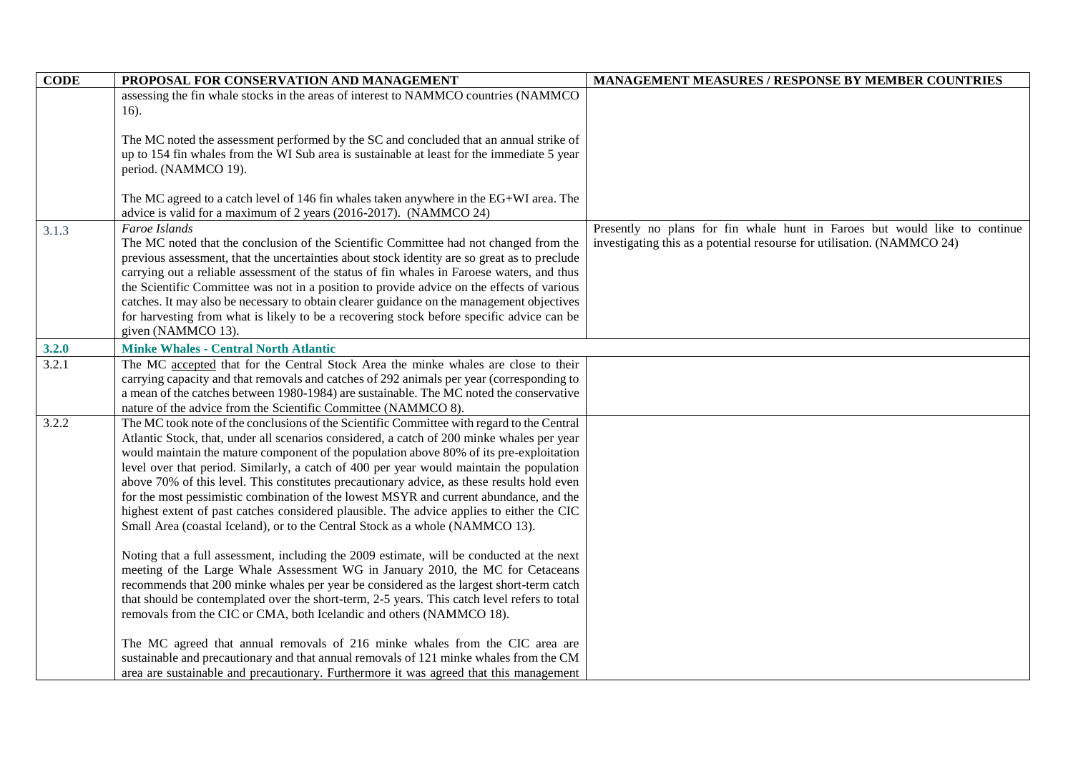| <b>CODE</b> | PROPOSAL FOR CONSERVATION AND MANAGEMENT                                                     | <b>MANAGEMENT MEASURES / RESPONSE BY MEMBER COUNTRIES</b>                  |
|-------------|----------------------------------------------------------------------------------------------|----------------------------------------------------------------------------|
|             | assessing the fin whale stocks in the areas of interest to NAMMCO countries (NAMMCO          |                                                                            |
|             | 16).                                                                                         |                                                                            |
|             |                                                                                              |                                                                            |
|             | The MC noted the assessment performed by the SC and concluded that an annual strike of       |                                                                            |
|             | up to 154 fin whales from the WI Sub area is sustainable at least for the immediate 5 year   |                                                                            |
|             | period. (NAMMCO 19).                                                                         |                                                                            |
|             |                                                                                              |                                                                            |
|             | The MC agreed to a catch level of 146 fin whales taken anywhere in the EG+WI area. The       |                                                                            |
|             | advice is valid for a maximum of 2 years (2016-2017). (NAMMCO 24)                            |                                                                            |
| 3.1.3       | Faroe Islands                                                                                | Presently no plans for fin whale hunt in Faroes but would like to continue |
|             | The MC noted that the conclusion of the Scientific Committee had not changed from the        | investigating this as a potential resourse for utilisation. (NAMMCO 24)    |
|             | previous assessment, that the uncertainties about stock identity are so great as to preclude |                                                                            |
|             | carrying out a reliable assessment of the status of fin whales in Faroese waters, and thus   |                                                                            |
|             | the Scientific Committee was not in a position to provide advice on the effects of various   |                                                                            |
|             | catches. It may also be necessary to obtain clearer guidance on the management objectives    |                                                                            |
|             | for harvesting from what is likely to be a recovering stock before specific advice can be    |                                                                            |
|             | given (NAMMCO 13).                                                                           |                                                                            |
| 3.2.0       | <b>Minke Whales - Central North Atlantic</b>                                                 |                                                                            |
| 3.2.1       | The MC accepted that for the Central Stock Area the minke whales are close to their          |                                                                            |
|             | carrying capacity and that removals and catches of 292 animals per year (corresponding to    |                                                                            |
|             | a mean of the catches between 1980-1984) are sustainable. The MC noted the conservative      |                                                                            |
|             | nature of the advice from the Scientific Committee (NAMMCO 8).                               |                                                                            |
| 3.2.2       | The MC took note of the conclusions of the Scientific Committee with regard to the Central   |                                                                            |
|             | Atlantic Stock, that, under all scenarios considered, a catch of 200 minke whales per year   |                                                                            |
|             | would maintain the mature component of the population above 80% of its pre-exploitation      |                                                                            |
|             | level over that period. Similarly, a catch of 400 per year would maintain the population     |                                                                            |
|             | above 70% of this level. This constitutes precautionary advice, as these results hold even   |                                                                            |
|             | for the most pessimistic combination of the lowest MSYR and current abundance, and the       |                                                                            |
|             | highest extent of past catches considered plausible. The advice applies to either the CIC    |                                                                            |
|             | Small Area (coastal Iceland), or to the Central Stock as a whole (NAMMCO 13).                |                                                                            |
|             | Noting that a full assessment, including the 2009 estimate, will be conducted at the next    |                                                                            |
|             | meeting of the Large Whale Assessment WG in January 2010, the MC for Cetaceans               |                                                                            |
|             | recommends that 200 minke whales per year be considered as the largest short-term catch      |                                                                            |
|             | that should be contemplated over the short-term, 2-5 years. This catch level refers to total |                                                                            |
|             | removals from the CIC or CMA, both Icelandic and others (NAMMCO 18).                         |                                                                            |
|             |                                                                                              |                                                                            |
|             | The MC agreed that annual removals of 216 minke whales from the CIC area are                 |                                                                            |
|             | sustainable and precautionary and that annual removals of 121 minke whales from the CM       |                                                                            |
|             | area are sustainable and precautionary. Furthermore it was agreed that this management       |                                                                            |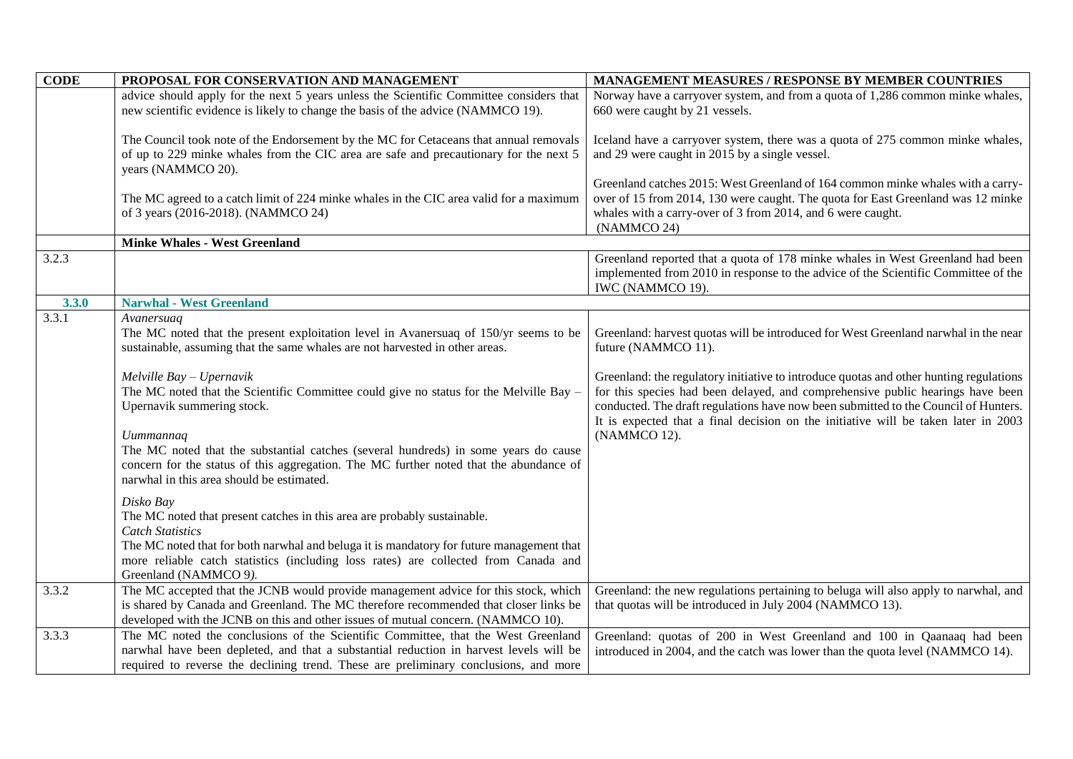| <b>CODE</b> | PROPOSAL FOR CONSERVATION AND MANAGEMENT                                                                                                                                                                                                                                                                                                                                                                                                                                                                                                                                                                                                                                                                                                                                                                                                                                                 | <b>MANAGEMENT MEASURES / RESPONSE BY MEMBER COUNTRIES</b>                                                                                                                                                                                                                                                                                                                                                                                                                           |
|-------------|------------------------------------------------------------------------------------------------------------------------------------------------------------------------------------------------------------------------------------------------------------------------------------------------------------------------------------------------------------------------------------------------------------------------------------------------------------------------------------------------------------------------------------------------------------------------------------------------------------------------------------------------------------------------------------------------------------------------------------------------------------------------------------------------------------------------------------------------------------------------------------------|-------------------------------------------------------------------------------------------------------------------------------------------------------------------------------------------------------------------------------------------------------------------------------------------------------------------------------------------------------------------------------------------------------------------------------------------------------------------------------------|
|             | advice should apply for the next 5 years unless the Scientific Committee considers that                                                                                                                                                                                                                                                                                                                                                                                                                                                                                                                                                                                                                                                                                                                                                                                                  | Norway have a carryover system, and from a quota of 1,286 common minke whales,                                                                                                                                                                                                                                                                                                                                                                                                      |
|             | new scientific evidence is likely to change the basis of the advice (NAMMCO 19).                                                                                                                                                                                                                                                                                                                                                                                                                                                                                                                                                                                                                                                                                                                                                                                                         | 660 were caught by 21 vessels.                                                                                                                                                                                                                                                                                                                                                                                                                                                      |
|             | The Council took note of the Endorsement by the MC for Cetaceans that annual removals<br>of up to 229 minke whales from the CIC area are safe and precautionary for the next 5<br>years (NAMMCO 20).                                                                                                                                                                                                                                                                                                                                                                                                                                                                                                                                                                                                                                                                                     | Iceland have a carryover system, there was a quota of 275 common minke whales,<br>and 29 were caught in 2015 by a single vessel.                                                                                                                                                                                                                                                                                                                                                    |
|             | The MC agreed to a catch limit of 224 minke whales in the CIC area valid for a maximum<br>of 3 years (2016-2018). (NAMMCO 24)                                                                                                                                                                                                                                                                                                                                                                                                                                                                                                                                                                                                                                                                                                                                                            | Greenland catches 2015: West Greenland of 164 common minke whales with a carry-<br>over of 15 from 2014, 130 were caught. The quota for East Greenland was 12 minke<br>whales with a carry-over of 3 from 2014, and 6 were caught.<br>(NAMMCO 24)                                                                                                                                                                                                                                   |
|             | <b>Minke Whales - West Greenland</b>                                                                                                                                                                                                                                                                                                                                                                                                                                                                                                                                                                                                                                                                                                                                                                                                                                                     |                                                                                                                                                                                                                                                                                                                                                                                                                                                                                     |
| 3.2.3       |                                                                                                                                                                                                                                                                                                                                                                                                                                                                                                                                                                                                                                                                                                                                                                                                                                                                                          | Greenland reported that a quota of 178 minke whales in West Greenland had been<br>implemented from 2010 in response to the advice of the Scientific Committee of the<br>IWC (NAMMCO 19).                                                                                                                                                                                                                                                                                            |
| 3.3.0       | <b>Narwhal - West Greenland</b>                                                                                                                                                                                                                                                                                                                                                                                                                                                                                                                                                                                                                                                                                                                                                                                                                                                          |                                                                                                                                                                                                                                                                                                                                                                                                                                                                                     |
| 3.3.1       | Avanersuaq<br>The MC noted that the present exploitation level in Avanersuaq of 150/yr seems to be<br>sustainable, assuming that the same whales are not harvested in other areas.<br>Melville Bay - Upernavik<br>The MC noted that the Scientific Committee could give no status for the Melville Bay -<br>Upernavik summering stock.<br>Uummannaq<br>The MC noted that the substantial catches (several hundreds) in some years do cause<br>concern for the status of this aggregation. The MC further noted that the abundance of<br>narwhal in this area should be estimated.<br>Disko Bay<br>The MC noted that present catches in this area are probably sustainable.<br><b>Catch Statistics</b><br>The MC noted that for both narwhal and beluga it is mandatory for future management that<br>more reliable catch statistics (including loss rates) are collected from Canada and | Greenland: harvest quotas will be introduced for West Greenland narwhal in the near<br>future (NAMMCO 11).<br>Greenland: the regulatory initiative to introduce quotas and other hunting regulations<br>for this species had been delayed, and comprehensive public hearings have been<br>conducted. The draft regulations have now been submitted to the Council of Hunters.<br>It is expected that a final decision on the initiative will be taken later in 2003<br>(NAMMCO 12). |
| 3.3.2       | Greenland (NAMMCO 9).<br>The MC accepted that the JCNB would provide management advice for this stock, which                                                                                                                                                                                                                                                                                                                                                                                                                                                                                                                                                                                                                                                                                                                                                                             | Greenland: the new regulations pertaining to beluga will also apply to narwhal, and                                                                                                                                                                                                                                                                                                                                                                                                 |
|             | is shared by Canada and Greenland. The MC therefore recommended that closer links be<br>developed with the JCNB on this and other issues of mutual concern. (NAMMCO 10).                                                                                                                                                                                                                                                                                                                                                                                                                                                                                                                                                                                                                                                                                                                 | that quotas will be introduced in July 2004 (NAMMCO 13).                                                                                                                                                                                                                                                                                                                                                                                                                            |
| 3.3.3       | The MC noted the conclusions of the Scientific Committee, that the West Greenland                                                                                                                                                                                                                                                                                                                                                                                                                                                                                                                                                                                                                                                                                                                                                                                                        | Greenland: quotas of 200 in West Greenland and 100 in Qaanaaq had been                                                                                                                                                                                                                                                                                                                                                                                                              |
|             | narwhal have been depleted, and that a substantial reduction in harvest levels will be<br>required to reverse the declining trend. These are preliminary conclusions, and more                                                                                                                                                                                                                                                                                                                                                                                                                                                                                                                                                                                                                                                                                                           | introduced in 2004, and the catch was lower than the quota level (NAMMCO 14).                                                                                                                                                                                                                                                                                                                                                                                                       |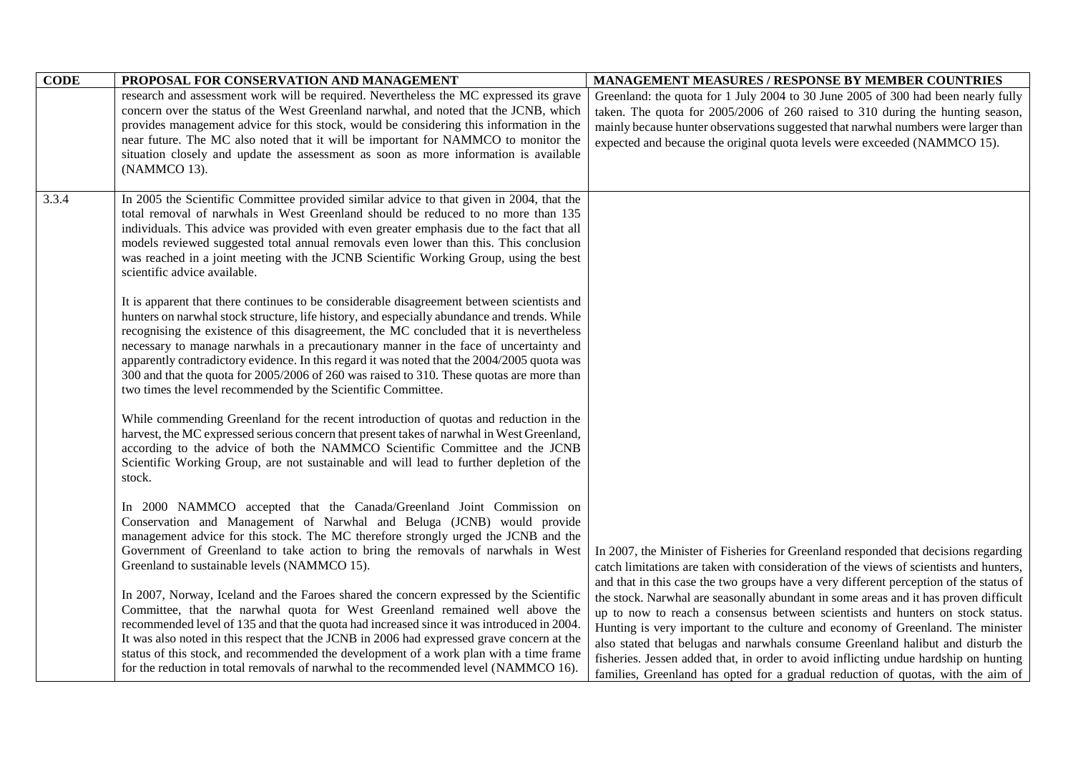| <b>CODE</b> | PROPOSAL FOR CONSERVATION AND MANAGEMENT                                                                                                                                                                                                                                                                                                                                                                                                                                                                                                                                                                                                    | MANAGEMENT MEASURES / RESPONSE BY MEMBER COUNTRIES                                                                                                                                                                                                                                                                                                                                                                                                                                                                       |
|-------------|---------------------------------------------------------------------------------------------------------------------------------------------------------------------------------------------------------------------------------------------------------------------------------------------------------------------------------------------------------------------------------------------------------------------------------------------------------------------------------------------------------------------------------------------------------------------------------------------------------------------------------------------|--------------------------------------------------------------------------------------------------------------------------------------------------------------------------------------------------------------------------------------------------------------------------------------------------------------------------------------------------------------------------------------------------------------------------------------------------------------------------------------------------------------------------|
|             | research and assessment work will be required. Nevertheless the MC expressed its grave<br>concern over the status of the West Greenland narwhal, and noted that the JCNB, which<br>provides management advice for this stock, would be considering this information in the<br>near future. The MC also noted that it will be important for NAMMCO to monitor the<br>situation closely and update the assessment as soon as more information is available<br>(NAMMCO 13).                                                                                                                                                                    | Greenland: the quota for 1 July 2004 to 30 June 2005 of 300 had been nearly fully<br>taken. The quota for 2005/2006 of 260 raised to 310 during the hunting season,<br>mainly because hunter observations suggested that narwhal numbers were larger than<br>expected and because the original quota levels were exceeded (NAMMCO 15).                                                                                                                                                                                   |
| 3.3.4       | In 2005 the Scientific Committee provided similar advice to that given in 2004, that the<br>total removal of narwhals in West Greenland should be reduced to no more than 135<br>individuals. This advice was provided with even greater emphasis due to the fact that all<br>models reviewed suggested total annual removals even lower than this. This conclusion<br>was reached in a joint meeting with the JCNB Scientific Working Group, using the best<br>scientific advice available.                                                                                                                                                |                                                                                                                                                                                                                                                                                                                                                                                                                                                                                                                          |
|             | It is apparent that there continues to be considerable disagreement between scientists and<br>hunters on narwhal stock structure, life history, and especially abundance and trends. While<br>recognising the existence of this disagreement, the MC concluded that it is nevertheless<br>necessary to manage narwhals in a precautionary manner in the face of uncertainty and<br>apparently contradictory evidence. In this regard it was noted that the 2004/2005 quota was<br>300 and that the quota for 2005/2006 of 260 was raised to 310. These quotas are more than<br>two times the level recommended by the Scientific Committee. |                                                                                                                                                                                                                                                                                                                                                                                                                                                                                                                          |
|             | While commending Greenland for the recent introduction of quotas and reduction in the<br>harvest, the MC expressed serious concern that present takes of narwhal in West Greenland,<br>according to the advice of both the NAMMCO Scientific Committee and the JCNB<br>Scientific Working Group, are not sustainable and will lead to further depletion of the<br>stock.                                                                                                                                                                                                                                                                    |                                                                                                                                                                                                                                                                                                                                                                                                                                                                                                                          |
|             | In 2000 NAMMCO accepted that the Canada/Greenland Joint Commission on<br>Conservation and Management of Narwhal and Beluga (JCNB) would provide<br>management advice for this stock. The MC therefore strongly urged the JCNB and the<br>Government of Greenland to take action to bring the removals of narwhals in West<br>Greenland to sustainable levels (NAMMCO 15).<br>In 2007, Norway, Iceland and the Faroes shared the concern expressed by the Scientific                                                                                                                                                                         | In 2007, the Minister of Fisheries for Greenland responded that decisions regarding<br>catch limitations are taken with consideration of the views of scientists and hunters,<br>and that in this case the two groups have a very different perception of the status of                                                                                                                                                                                                                                                  |
|             | Committee, that the narwhal quota for West Greenland remained well above the<br>recommended level of 135 and that the quota had increased since it was introduced in 2004.<br>It was also noted in this respect that the JCNB in 2006 had expressed grave concern at the<br>status of this stock, and recommended the development of a work plan with a time frame<br>for the reduction in total removals of narwhal to the recommended level (NAMMCO 16).                                                                                                                                                                                  | the stock. Narwhal are seasonally abundant in some areas and it has proven difficult<br>up to now to reach a consensus between scientists and hunters on stock status.<br>Hunting is very important to the culture and economy of Greenland. The minister<br>also stated that belugas and narwhals consume Greenland halibut and disturb the<br>fisheries. Jessen added that, in order to avoid inflicting undue hardship on hunting<br>families, Greenland has opted for a gradual reduction of quotas, with the aim of |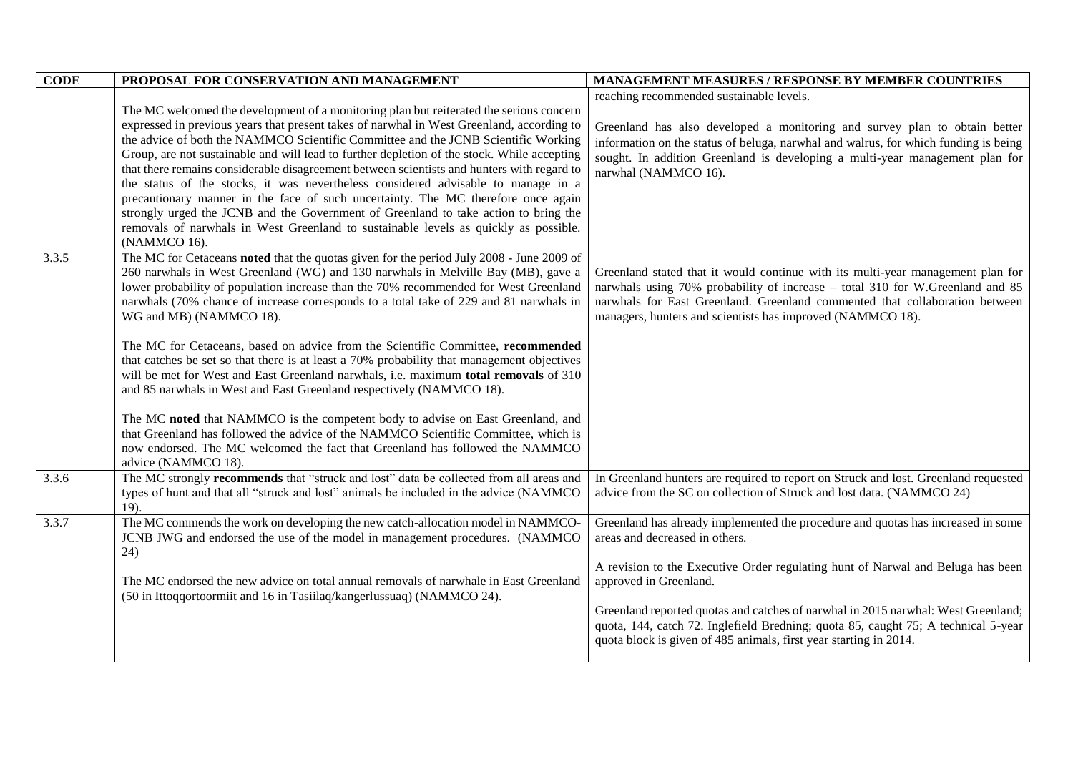| <b>CODE</b> | PROPOSAL FOR CONSERVATION AND MANAGEMENT                                                    | <b>MANAGEMENT MEASURES / RESPONSE BY MEMBER COUNTRIES</b>                           |
|-------------|---------------------------------------------------------------------------------------------|-------------------------------------------------------------------------------------|
|             |                                                                                             | reaching recommended sustainable levels.                                            |
|             | The MC welcomed the development of a monitoring plan but reiterated the serious concern     |                                                                                     |
|             | expressed in previous years that present takes of narwhal in West Greenland, according to   | Greenland has also developed a monitoring and survey plan to obtain better          |
|             | the advice of both the NAMMCO Scientific Committee and the JCNB Scientific Working          | information on the status of beluga, narwhal and walrus, for which funding is being |
|             | Group, are not sustainable and will lead to further depletion of the stock. While accepting | sought. In addition Greenland is developing a multi-year management plan for        |
|             | that there remains considerable disagreement between scientists and hunters with regard to  | narwhal (NAMMCO 16).                                                                |
|             | the status of the stocks, it was nevertheless considered advisable to manage in a           |                                                                                     |
|             | precautionary manner in the face of such uncertainty. The MC therefore once again           |                                                                                     |
|             | strongly urged the JCNB and the Government of Greenland to take action to bring the         |                                                                                     |
|             | removals of narwhals in West Greenland to sustainable levels as quickly as possible.        |                                                                                     |
|             | (NAMMCO 16).                                                                                |                                                                                     |
| 3.3.5       | The MC for Cetaceans noted that the quotas given for the period July 2008 - June 2009 of    |                                                                                     |
|             | 260 narwhals in West Greenland (WG) and 130 narwhals in Melville Bay (MB), gave a           | Greenland stated that it would continue with its multi-year management plan for     |
|             | lower probability of population increase than the 70% recommended for West Greenland        | narwhals using 70% probability of increase - total 310 for W.Greenland and 85       |
|             | narwhals (70% chance of increase corresponds to a total take of 229 and 81 narwhals in      | narwhals for East Greenland. Greenland commented that collaboration between         |
|             | WG and MB) (NAMMCO 18).                                                                     | managers, hunters and scientists has improved (NAMMCO 18).                          |
|             | The MC for Cetaceans, based on advice from the Scientific Committee, recommended            |                                                                                     |
|             | that catches be set so that there is at least a 70% probability that management objectives  |                                                                                     |
|             | will be met for West and East Greenland narwhals, i.e. maximum total removals of 310        |                                                                                     |
|             | and 85 narwhals in West and East Greenland respectively (NAMMCO 18).                        |                                                                                     |
|             |                                                                                             |                                                                                     |
|             | The MC noted that NAMMCO is the competent body to advise on East Greenland, and             |                                                                                     |
|             | that Greenland has followed the advice of the NAMMCO Scientific Committee, which is         |                                                                                     |
|             | now endorsed. The MC welcomed the fact that Greenland has followed the NAMMCO               |                                                                                     |
|             | advice (NAMMCO 18).                                                                         |                                                                                     |
| 3.3.6       | The MC strongly recommends that "struck and lost" data be collected from all areas and      | In Greenland hunters are required to report on Struck and lost. Greenland requested |
|             | types of hunt and that all "struck and lost" animals be included in the advice (NAMMCO      | advice from the SC on collection of Struck and lost data. (NAMMCO 24)               |
|             | $19$ ).                                                                                     |                                                                                     |
| 3.3.7       | The MC commends the work on developing the new catch-allocation model in NAMMCO-            | Greenland has already implemented the procedure and quotas has increased in some    |
|             | JCNB JWG and endorsed the use of the model in management procedures. (NAMMCO                | areas and decreased in others.                                                      |
|             | 24)                                                                                         |                                                                                     |
|             |                                                                                             | A revision to the Executive Order regulating hunt of Narwal and Beluga has been     |
|             | The MC endorsed the new advice on total annual removals of narwhale in East Greenland       | approved in Greenland.                                                              |
|             | (50 in Ittoqqortoormiit and 16 in Tasiilaq/kangerlussuaq) (NAMMCO 24).                      |                                                                                     |
|             |                                                                                             | Greenland reported quotas and catches of narwhal in 2015 narwhal: West Greenland;   |
|             |                                                                                             | quota, 144, catch 72. Inglefield Bredning; quota 85, caught 75; A technical 5-year  |
|             |                                                                                             | quota block is given of 485 animals, first year starting in 2014.                   |
|             |                                                                                             |                                                                                     |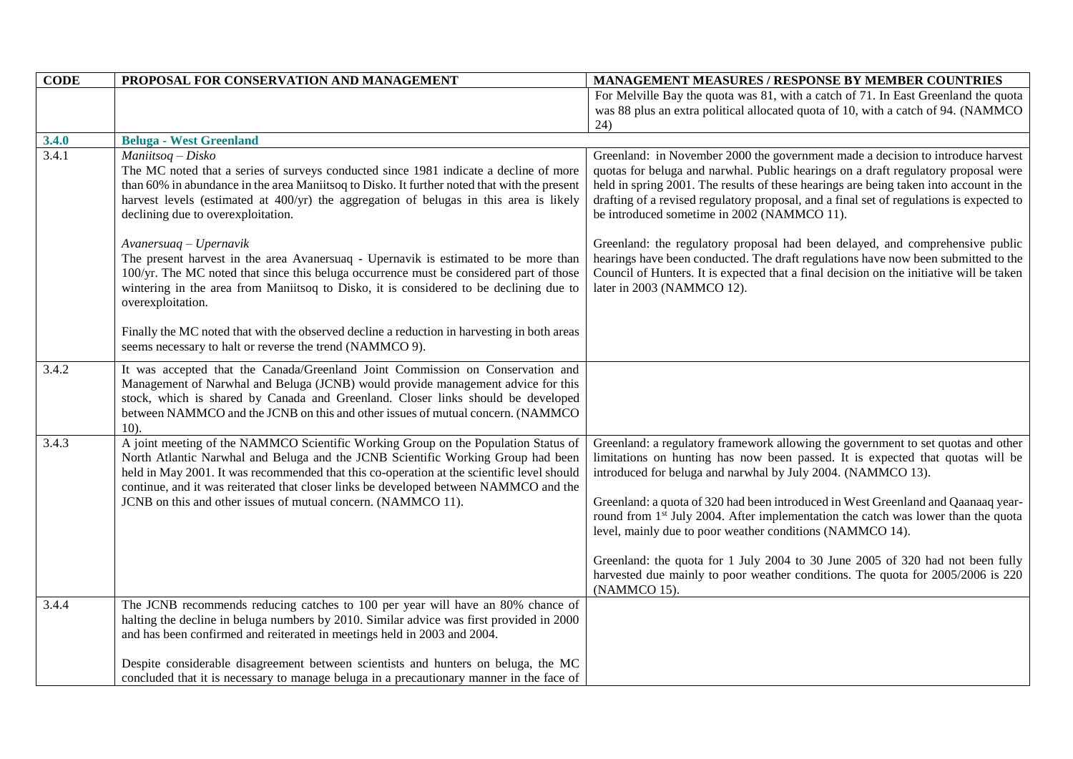| <b>CODE</b> | PROPOSAL FOR CONSERVATION AND MANAGEMENT                                                                                                                                                                                                                                                                                                                                                                                       | MANAGEMENT MEASURES / RESPONSE BY MEMBER COUNTRIES                                                                                                                                                                                                                                                                                                                                                                                                                                                                                                                                                                                                                          |
|-------------|--------------------------------------------------------------------------------------------------------------------------------------------------------------------------------------------------------------------------------------------------------------------------------------------------------------------------------------------------------------------------------------------------------------------------------|-----------------------------------------------------------------------------------------------------------------------------------------------------------------------------------------------------------------------------------------------------------------------------------------------------------------------------------------------------------------------------------------------------------------------------------------------------------------------------------------------------------------------------------------------------------------------------------------------------------------------------------------------------------------------------|
|             |                                                                                                                                                                                                                                                                                                                                                                                                                                | For Melville Bay the quota was 81, with a catch of 71. In East Greenland the quota<br>was 88 plus an extra political allocated quota of 10, with a catch of 94. (NAMMCO<br>24)                                                                                                                                                                                                                                                                                                                                                                                                                                                                                              |
| 3.4.0       | <b>Beluga - West Greenland</b>                                                                                                                                                                                                                                                                                                                                                                                                 |                                                                                                                                                                                                                                                                                                                                                                                                                                                                                                                                                                                                                                                                             |
| 3.4.1       | Maniitsoq - Disko<br>The MC noted that a series of surveys conducted since 1981 indicate a decline of more<br>than 60% in abundance in the area Maniitsoq to Disko. It further noted that with the present<br>harvest levels (estimated at 400/yr) the aggregation of belugas in this area is likely<br>declining due to overexploitation.                                                                                     | Greenland: in November 2000 the government made a decision to introduce harvest<br>quotas for beluga and narwhal. Public hearings on a draft regulatory proposal were<br>held in spring 2001. The results of these hearings are being taken into account in the<br>drafting of a revised regulatory proposal, and a final set of regulations is expected to<br>be introduced sometime in 2002 (NAMMCO 11).                                                                                                                                                                                                                                                                  |
|             | Avanersuaq - Upernavik<br>The present harvest in the area Avanersuaq - Upernavik is estimated to be more than<br>100/yr. The MC noted that since this beluga occurrence must be considered part of those<br>wintering in the area from Maniitsoq to Disko, it is considered to be declining due to<br>overexploitation.                                                                                                        | Greenland: the regulatory proposal had been delayed, and comprehensive public<br>hearings have been conducted. The draft regulations have now been submitted to the<br>Council of Hunters. It is expected that a final decision on the initiative will be taken<br>later in 2003 (NAMMCO 12).                                                                                                                                                                                                                                                                                                                                                                               |
|             | Finally the MC noted that with the observed decline a reduction in harvesting in both areas<br>seems necessary to halt or reverse the trend (NAMMCO 9).                                                                                                                                                                                                                                                                        |                                                                                                                                                                                                                                                                                                                                                                                                                                                                                                                                                                                                                                                                             |
| 3.4.2       | It was accepted that the Canada/Greenland Joint Commission on Conservation and<br>Management of Narwhal and Beluga (JCNB) would provide management advice for this<br>stock, which is shared by Canada and Greenland. Closer links should be developed<br>between NAMMCO and the JCNB on this and other issues of mutual concern. (NAMMCO<br>$10$ ).                                                                           |                                                                                                                                                                                                                                                                                                                                                                                                                                                                                                                                                                                                                                                                             |
| 3.4.3       | A joint meeting of the NAMMCO Scientific Working Group on the Population Status of<br>North Atlantic Narwhal and Beluga and the JCNB Scientific Working Group had been<br>held in May 2001. It was recommended that this co-operation at the scientific level should<br>continue, and it was reiterated that closer links be developed between NAMMCO and the<br>JCNB on this and other issues of mutual concern. (NAMMCO 11). | Greenland: a regulatory framework allowing the government to set quotas and other<br>limitations on hunting has now been passed. It is expected that quotas will be<br>introduced for beluga and narwhal by July 2004. (NAMMCO 13).<br>Greenland: a quota of 320 had been introduced in West Greenland and Qaanaaq year-<br>round from 1 <sup>st</sup> July 2004. After implementation the catch was lower than the quota<br>level, mainly due to poor weather conditions (NAMMCO 14).<br>Greenland: the quota for 1 July 2004 to 30 June 2005 of 320 had not been fully<br>harvested due mainly to poor weather conditions. The quota for 2005/2006 is 220<br>(NAMMCO 15). |
| 3.4.4       | The JCNB recommends reducing catches to 100 per year will have an 80% chance of<br>halting the decline in beluga numbers by 2010. Similar advice was first provided in 2000<br>and has been confirmed and reiterated in meetings held in 2003 and 2004.<br>Despite considerable disagreement between scientists and hunters on beluga, the MC                                                                                  |                                                                                                                                                                                                                                                                                                                                                                                                                                                                                                                                                                                                                                                                             |
|             | concluded that it is necessary to manage beluga in a precautionary manner in the face of                                                                                                                                                                                                                                                                                                                                       |                                                                                                                                                                                                                                                                                                                                                                                                                                                                                                                                                                                                                                                                             |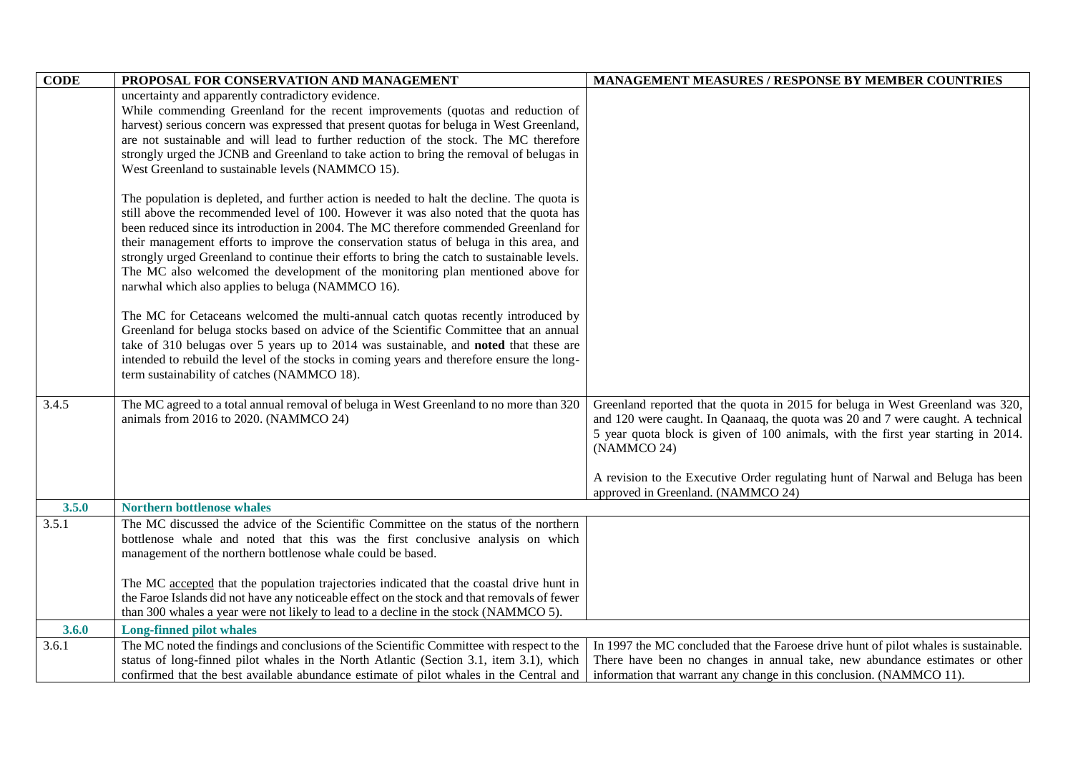| <b>CODE</b> | PROPOSAL FOR CONSERVATION AND MANAGEMENT                                                                                                                                             | <b>MANAGEMENT MEASURES / RESPONSE BY MEMBER COUNTRIES</b>                                                                                                           |
|-------------|--------------------------------------------------------------------------------------------------------------------------------------------------------------------------------------|---------------------------------------------------------------------------------------------------------------------------------------------------------------------|
|             | uncertainty and apparently contradictory evidence.                                                                                                                                   |                                                                                                                                                                     |
|             | While commending Greenland for the recent improvements (quotas and reduction of                                                                                                      |                                                                                                                                                                     |
|             | harvest) serious concern was expressed that present quotas for beluga in West Greenland,                                                                                             |                                                                                                                                                                     |
|             | are not sustainable and will lead to further reduction of the stock. The MC therefore                                                                                                |                                                                                                                                                                     |
|             | strongly urged the JCNB and Greenland to take action to bring the removal of belugas in                                                                                              |                                                                                                                                                                     |
|             | West Greenland to sustainable levels (NAMMCO 15).                                                                                                                                    |                                                                                                                                                                     |
|             |                                                                                                                                                                                      |                                                                                                                                                                     |
|             | The population is depleted, and further action is needed to halt the decline. The quota is<br>still above the recommended level of 100. However it was also noted that the quota has |                                                                                                                                                                     |
|             | been reduced since its introduction in 2004. The MC therefore commended Greenland for                                                                                                |                                                                                                                                                                     |
|             | their management efforts to improve the conservation status of beluga in this area, and                                                                                              |                                                                                                                                                                     |
|             | strongly urged Greenland to continue their efforts to bring the catch to sustainable levels.                                                                                         |                                                                                                                                                                     |
|             | The MC also welcomed the development of the monitoring plan mentioned above for                                                                                                      |                                                                                                                                                                     |
|             | narwhal which also applies to beluga (NAMMCO 16).                                                                                                                                    |                                                                                                                                                                     |
|             |                                                                                                                                                                                      |                                                                                                                                                                     |
|             | The MC for Cetaceans welcomed the multi-annual catch quotas recently introduced by                                                                                                   |                                                                                                                                                                     |
|             | Greenland for beluga stocks based on advice of the Scientific Committee that an annual                                                                                               |                                                                                                                                                                     |
|             | take of 310 belugas over 5 years up to 2014 was sustainable, and noted that these are                                                                                                |                                                                                                                                                                     |
|             | intended to rebuild the level of the stocks in coming years and therefore ensure the long-                                                                                           |                                                                                                                                                                     |
|             | term sustainability of catches (NAMMCO 18).                                                                                                                                          |                                                                                                                                                                     |
|             |                                                                                                                                                                                      |                                                                                                                                                                     |
| 3.4.5       | The MC agreed to a total annual removal of beluga in West Greenland to no more than 320                                                                                              | Greenland reported that the quota in 2015 for beluga in West Greenland was 320,<br>and 120 were caught. In Qaanaaq, the quota was 20 and 7 were caught. A technical |
|             | animals from 2016 to 2020. (NAMMCO 24)                                                                                                                                               | 5 year quota block is given of 100 animals, with the first year starting in 2014.                                                                                   |
|             |                                                                                                                                                                                      | (NAMMCO 24)                                                                                                                                                         |
|             |                                                                                                                                                                                      |                                                                                                                                                                     |
|             |                                                                                                                                                                                      | A revision to the Executive Order regulating hunt of Narwal and Beluga has been                                                                                     |
|             |                                                                                                                                                                                      | approved in Greenland. (NAMMCO 24)                                                                                                                                  |
| 3.5.0       | <b>Northern bottlenose whales</b>                                                                                                                                                    |                                                                                                                                                                     |
| 3.5.1       | The MC discussed the advice of the Scientific Committee on the status of the northern                                                                                                |                                                                                                                                                                     |
|             | bottlenose whale and noted that this was the first conclusive analysis on which                                                                                                      |                                                                                                                                                                     |
|             | management of the northern bottlenose whale could be based.                                                                                                                          |                                                                                                                                                                     |
|             | The MC accepted that the population trajectories indicated that the coastal drive hunt in                                                                                            |                                                                                                                                                                     |
|             | the Faroe Islands did not have any noticeable effect on the stock and that removals of fewer                                                                                         |                                                                                                                                                                     |
|             | than 300 whales a year were not likely to lead to a decline in the stock (NAMMCO 5).                                                                                                 |                                                                                                                                                                     |
| 3.6.0       | <b>Long-finned pilot whales</b>                                                                                                                                                      |                                                                                                                                                                     |
| 3.6.1       | The MC noted the findings and conclusions of the Scientific Committee with respect to the                                                                                            | In 1997 the MC concluded that the Faroese drive hunt of pilot whales is sustainable.                                                                                |
|             | status of long-finned pilot whales in the North Atlantic (Section 3.1, item 3.1), which                                                                                              | There have been no changes in annual take, new abundance estimates or other                                                                                         |
|             | confirmed that the best available abundance estimate of pilot whales in the Central and                                                                                              | information that warrant any change in this conclusion. (NAMMCO 11).                                                                                                |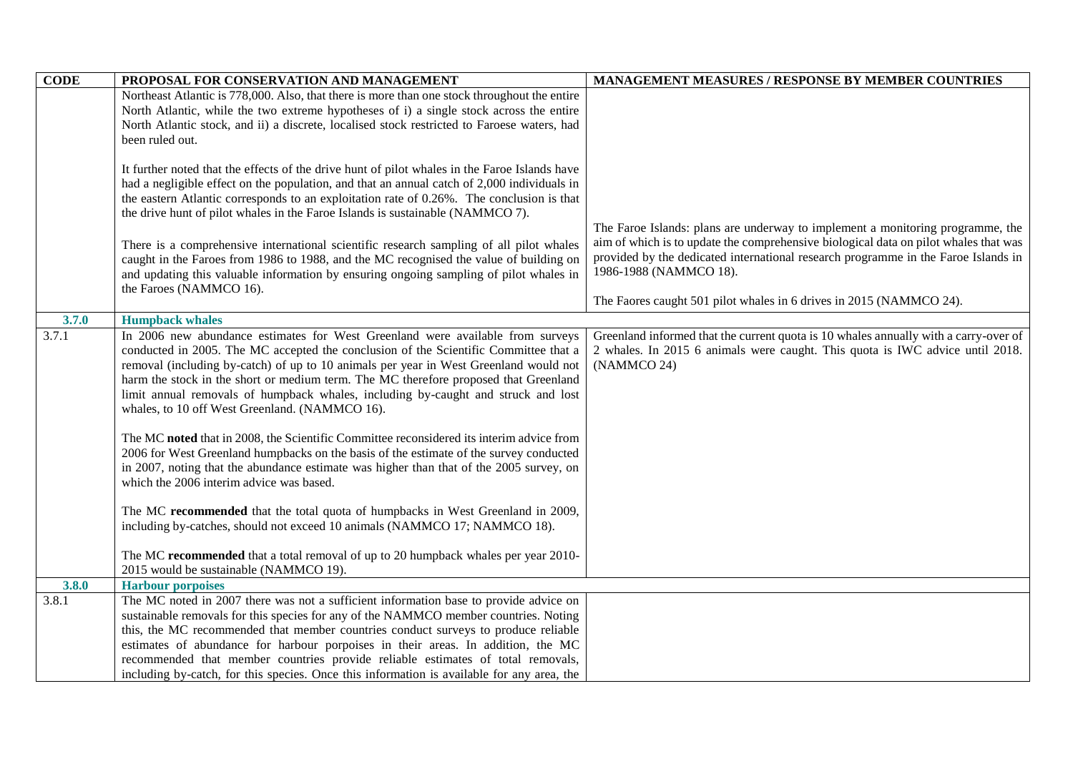| <b>CODE</b>    | PROPOSAL FOR CONSERVATION AND MANAGEMENT                                                                 | <b>MANAGEMENT MEASURES / RESPONSE BY MEMBER COUNTRIES</b>                                                                                                             |
|----------------|----------------------------------------------------------------------------------------------------------|-----------------------------------------------------------------------------------------------------------------------------------------------------------------------|
|                | Northeast Atlantic is 778,000. Also, that there is more than one stock throughout the entire             |                                                                                                                                                                       |
|                | North Atlantic, while the two extreme hypotheses of i) a single stock across the entire                  |                                                                                                                                                                       |
|                | North Atlantic stock, and ii) a discrete, localised stock restricted to Faroese waters, had              |                                                                                                                                                                       |
|                | been ruled out.                                                                                          |                                                                                                                                                                       |
|                |                                                                                                          |                                                                                                                                                                       |
|                | It further noted that the effects of the drive hunt of pilot whales in the Faroe Islands have            |                                                                                                                                                                       |
|                | had a negligible effect on the population, and that an annual catch of 2,000 individuals in              |                                                                                                                                                                       |
|                | the eastern Atlantic corresponds to an exploitation rate of 0.26%. The conclusion is that                |                                                                                                                                                                       |
|                | the drive hunt of pilot whales in the Faroe Islands is sustainable (NAMMCO 7).                           |                                                                                                                                                                       |
|                |                                                                                                          | The Faroe Islands: plans are underway to implement a monitoring programme, the                                                                                        |
|                | There is a comprehensive international scientific research sampling of all pilot whales                  | aim of which is to update the comprehensive biological data on pilot whales that was                                                                                  |
|                | caught in the Faroes from 1986 to 1988, and the MC recognised the value of building on                   | provided by the dedicated international research programme in the Faroe Islands in<br>1986-1988 (NAMMCO 18).                                                          |
|                | and updating this valuable information by ensuring ongoing sampling of pilot whales in                   |                                                                                                                                                                       |
|                | the Faroes (NAMMCO 16).                                                                                  | The Faores caught 501 pilot whales in 6 drives in 2015 (NAMMCO 24).                                                                                                   |
|                |                                                                                                          |                                                                                                                                                                       |
| 3.7.0<br>3.7.1 | <b>Humpback whales</b><br>In 2006 new abundance estimates for West Greenland were available from surveys |                                                                                                                                                                       |
|                | conducted in 2005. The MC accepted the conclusion of the Scientific Committee that a                     | Greenland informed that the current quota is 10 whales annually with a carry-over of<br>2 whales. In 2015 6 animals were caught. This quota is IWC advice until 2018. |
|                | removal (including by-catch) of up to 10 animals per year in West Greenland would not                    | (NAMMCO 24)                                                                                                                                                           |
|                | harm the stock in the short or medium term. The MC therefore proposed that Greenland                     |                                                                                                                                                                       |
|                | limit annual removals of humpback whales, including by-caught and struck and lost                        |                                                                                                                                                                       |
|                | whales, to 10 off West Greenland. (NAMMCO 16).                                                           |                                                                                                                                                                       |
|                |                                                                                                          |                                                                                                                                                                       |
|                | The MC noted that in 2008, the Scientific Committee reconsidered its interim advice from                 |                                                                                                                                                                       |
|                | 2006 for West Greenland humpbacks on the basis of the estimate of the survey conducted                   |                                                                                                                                                                       |
|                | in 2007, noting that the abundance estimate was higher than that of the 2005 survey, on                  |                                                                                                                                                                       |
|                | which the 2006 interim advice was based.                                                                 |                                                                                                                                                                       |
|                |                                                                                                          |                                                                                                                                                                       |
|                | The MC recommended that the total quota of humpbacks in West Greenland in 2009,                          |                                                                                                                                                                       |
|                | including by-catches, should not exceed 10 animals (NAMMCO 17; NAMMCO 18).                               |                                                                                                                                                                       |
|                | The MC recommended that a total removal of up to 20 humpback whales per year 2010-                       |                                                                                                                                                                       |
|                | 2015 would be sustainable (NAMMCO 19).                                                                   |                                                                                                                                                                       |
| 3.8.0          | <b>Harbour porpoises</b>                                                                                 |                                                                                                                                                                       |
| 3.8.1          | The MC noted in 2007 there was not a sufficient information base to provide advice on                    |                                                                                                                                                                       |
|                | sustainable removals for this species for any of the NAMMCO member countries. Noting                     |                                                                                                                                                                       |
|                | this, the MC recommended that member countries conduct surveys to produce reliable                       |                                                                                                                                                                       |
|                | estimates of abundance for harbour porpoises in their areas. In addition, the MC                         |                                                                                                                                                                       |
|                | recommended that member countries provide reliable estimates of total removals,                          |                                                                                                                                                                       |
|                | including by-catch, for this species. Once this information is available for any area, the               |                                                                                                                                                                       |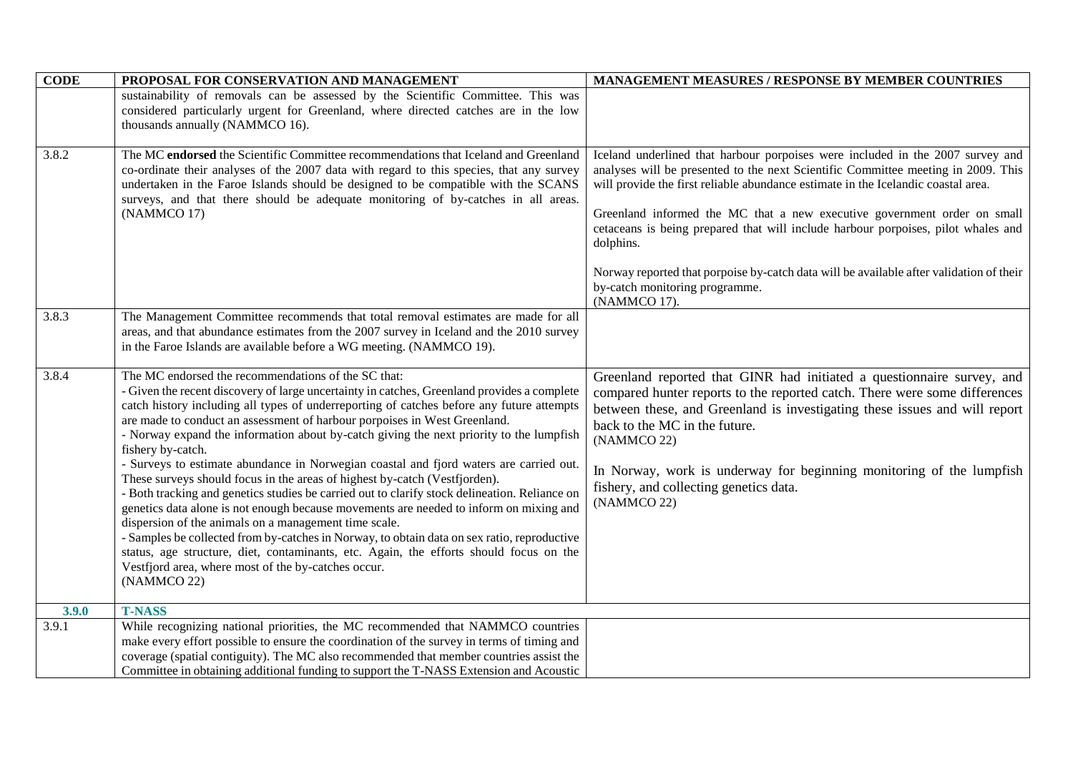| <b>CODE</b> | PROPOSAL FOR CONSERVATION AND MANAGEMENT                                                                                                                                                                                                                                                                                                                                                                                                                                                                                                                                                                                                                                                                                                                                                                                                                                                                                                                                                                                                                                                                                              | <b>MANAGEMENT MEASURES / RESPONSE BY MEMBER COUNTRIES</b>                                                                                                                                                                                                                                                                                                                                                                                                                                                                                                           |
|-------------|---------------------------------------------------------------------------------------------------------------------------------------------------------------------------------------------------------------------------------------------------------------------------------------------------------------------------------------------------------------------------------------------------------------------------------------------------------------------------------------------------------------------------------------------------------------------------------------------------------------------------------------------------------------------------------------------------------------------------------------------------------------------------------------------------------------------------------------------------------------------------------------------------------------------------------------------------------------------------------------------------------------------------------------------------------------------------------------------------------------------------------------|---------------------------------------------------------------------------------------------------------------------------------------------------------------------------------------------------------------------------------------------------------------------------------------------------------------------------------------------------------------------------------------------------------------------------------------------------------------------------------------------------------------------------------------------------------------------|
|             | sustainability of removals can be assessed by the Scientific Committee. This was                                                                                                                                                                                                                                                                                                                                                                                                                                                                                                                                                                                                                                                                                                                                                                                                                                                                                                                                                                                                                                                      |                                                                                                                                                                                                                                                                                                                                                                                                                                                                                                                                                                     |
|             | considered particularly urgent for Greenland, where directed catches are in the low                                                                                                                                                                                                                                                                                                                                                                                                                                                                                                                                                                                                                                                                                                                                                                                                                                                                                                                                                                                                                                                   |                                                                                                                                                                                                                                                                                                                                                                                                                                                                                                                                                                     |
|             | thousands annually (NAMMCO 16).                                                                                                                                                                                                                                                                                                                                                                                                                                                                                                                                                                                                                                                                                                                                                                                                                                                                                                                                                                                                                                                                                                       |                                                                                                                                                                                                                                                                                                                                                                                                                                                                                                                                                                     |
| 3.8.2       | The MC endorsed the Scientific Committee recommendations that Iceland and Greenland<br>co-ordinate their analyses of the 2007 data with regard to this species, that any survey<br>undertaken in the Faroe Islands should be designed to be compatible with the SCANS<br>surveys, and that there should be adequate monitoring of by-catches in all areas.<br>(NAMMCO 17)                                                                                                                                                                                                                                                                                                                                                                                                                                                                                                                                                                                                                                                                                                                                                             | Iceland underlined that harbour porpoises were included in the 2007 survey and<br>analyses will be presented to the next Scientific Committee meeting in 2009. This<br>will provide the first reliable abundance estimate in the Icelandic coastal area.<br>Greenland informed the MC that a new executive government order on small<br>cetaceans is being prepared that will include harbour porpoises, pilot whales and<br>dolphins.<br>Norway reported that porpoise by-catch data will be available after validation of their<br>by-catch monitoring programme. |
|             |                                                                                                                                                                                                                                                                                                                                                                                                                                                                                                                                                                                                                                                                                                                                                                                                                                                                                                                                                                                                                                                                                                                                       | (NAMMCO 17).                                                                                                                                                                                                                                                                                                                                                                                                                                                                                                                                                        |
| 3.8.3       | The Management Committee recommends that total removal estimates are made for all<br>areas, and that abundance estimates from the 2007 survey in Iceland and the 2010 survey<br>in the Faroe Islands are available before a WG meeting. (NAMMCO 19).                                                                                                                                                                                                                                                                                                                                                                                                                                                                                                                                                                                                                                                                                                                                                                                                                                                                                  |                                                                                                                                                                                                                                                                                                                                                                                                                                                                                                                                                                     |
| 3.8.4       | The MC endorsed the recommendations of the SC that:<br>- Given the recent discovery of large uncertainty in catches, Greenland provides a complete<br>catch history including all types of underreporting of catches before any future attempts<br>are made to conduct an assessment of harbour porpoises in West Greenland.<br>- Norway expand the information about by-catch giving the next priority to the lumpfish<br>fishery by-catch.<br>- Surveys to estimate abundance in Norwegian coastal and fjord waters are carried out.<br>These surveys should focus in the areas of highest by-catch (Vestfjorden).<br>Both tracking and genetics studies be carried out to clarify stock delineation. Reliance on<br>genetics data alone is not enough because movements are needed to inform on mixing and<br>dispersion of the animals on a management time scale.<br>- Samples be collected from by-catches in Norway, to obtain data on sex ratio, reproductive<br>status, age structure, diet, contaminants, etc. Again, the efforts should focus on the<br>Vestfjord area, where most of the by-catches occur.<br>(NAMMCO 22) | Greenland reported that GINR had initiated a questionnaire survey, and<br>compared hunter reports to the reported catch. There were some differences<br>between these, and Greenland is investigating these issues and will report<br>back to the MC in the future.<br>(NAMMCO 22)<br>In Norway, work is underway for beginning monitoring of the lumpfish<br>fishery, and collecting genetics data.<br>(NAMMCO 22)                                                                                                                                                 |
| 3.9.0       | <b>T-NASS</b>                                                                                                                                                                                                                                                                                                                                                                                                                                                                                                                                                                                                                                                                                                                                                                                                                                                                                                                                                                                                                                                                                                                         |                                                                                                                                                                                                                                                                                                                                                                                                                                                                                                                                                                     |
| 3.9.1       | While recognizing national priorities, the MC recommended that NAMMCO countries                                                                                                                                                                                                                                                                                                                                                                                                                                                                                                                                                                                                                                                                                                                                                                                                                                                                                                                                                                                                                                                       |                                                                                                                                                                                                                                                                                                                                                                                                                                                                                                                                                                     |
|             | make every effort possible to ensure the coordination of the survey in terms of timing and                                                                                                                                                                                                                                                                                                                                                                                                                                                                                                                                                                                                                                                                                                                                                                                                                                                                                                                                                                                                                                            |                                                                                                                                                                                                                                                                                                                                                                                                                                                                                                                                                                     |
|             | coverage (spatial contiguity). The MC also recommended that member countries assist the                                                                                                                                                                                                                                                                                                                                                                                                                                                                                                                                                                                                                                                                                                                                                                                                                                                                                                                                                                                                                                               |                                                                                                                                                                                                                                                                                                                                                                                                                                                                                                                                                                     |
|             | Committee in obtaining additional funding to support the T-NASS Extension and Acoustic                                                                                                                                                                                                                                                                                                                                                                                                                                                                                                                                                                                                                                                                                                                                                                                                                                                                                                                                                                                                                                                |                                                                                                                                                                                                                                                                                                                                                                                                                                                                                                                                                                     |